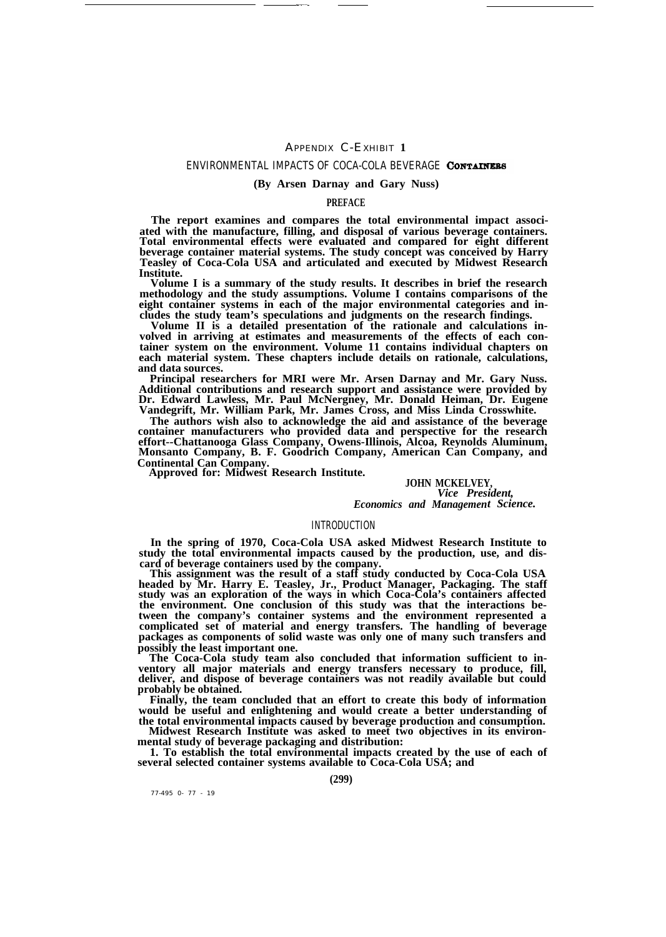# APPENDIX C-EXHIBIT **1**

.——

## ENVIRONMENTAL IMPACTS OF COCA-COLA BEVERAGE CONTAINERS

### **(By Arsen Darnay and Gary Nuss)**

# **PREFACE**

**The report examines and compares the total environmental impact associated with the manufacture, filling, and disposal of various beverage containers. Total environmental effects were evaluated and compared for eight different beverage container material systems. The study concept was conceived by Harry Teasley of Coca-Cola USA and articulated and executed by Midwest Research Institute.**

**Volume I is a summary of the study results. It describes in brief the research methodology and the study assumptions. Volume I contains comparisons of the eight container systems in each of the major environmental categories and includes the study team's speculations and judgments on the research findings.**

Volume II is a detailed presentation of the rationale and calculations in**volved in arriving at estimates and measurements of the effects of each container system on the environment. Volume 11 contains individual chapters on each material system. These chapters include details on rationale, calculations, and data sources.**

**Principal researchers for MRI were Mr. Arsen Darnay and Mr. Gary Nuss. Additional contributions and research support and assistance were provided by Dr. Edward Lawless, Mr. Paul McNergney, Mr. Donald Heiman, Dr. Eugene Vandegrift, Mr. William Park, Mr. James Cross, and Miss Linda Crosswhite.**

**The authors wish also to acknowledge the aid and assistance of the beverage container manufacturers who provided data and perspective for the research effort--Chattanooga Glass Company, Owens-Illinois, Alcoa, Reynolds Aluminum, Monsanto Company, B. F. Goodrich Company, American Can Company, and Continental Can Company. Approved for: Midwest Research Institute.**

**JOHN MCKELVEY,** *Vice President, Economics and Management Science.*

#### INTRODUCTION

**In the spring of 1970, Coca-Cola USA asked Midwest Research Institute to study the total environmental impacts caused by the production, use, and discard of beverage containers used by the company.**

**This assignment was the result of a staff study conducted by Coca-Cola USA headed by Mr. Harry E. Teasley, Jr., Product Manager, Packaging. The staff study was an exploration of the ways in which Coca-Cola's containers affected the environment. One conclusion of this study was that the interactions between the company's container systems and the environment represented a complicated set of material and energy transfers. The handling of beverage packages as components of solid waste was only one of many such transfers and possibly the least important one.**

**The Coca-Cola study team also concluded that information sufficient to inventory all major materials and energy transfers necessary to produce, fill, deliver, and dispose of beverage containers was not readily available but could probably be obtained.**

**Finally, the team concluded that an effort to create this body of information would be useful and enlightening and would create a better understanding of the total environmental impacts caused by beverage production and consumption. Midwest Research Institute was asked to meet two objectives in its environ-**

**mental study of beverage packaging and distribution:**

**1. To establish the total environmental impacts created by the use of each of several selected container systems available to Coca-Cola USA; and**

**(299)**

77-495 0- 77 - 19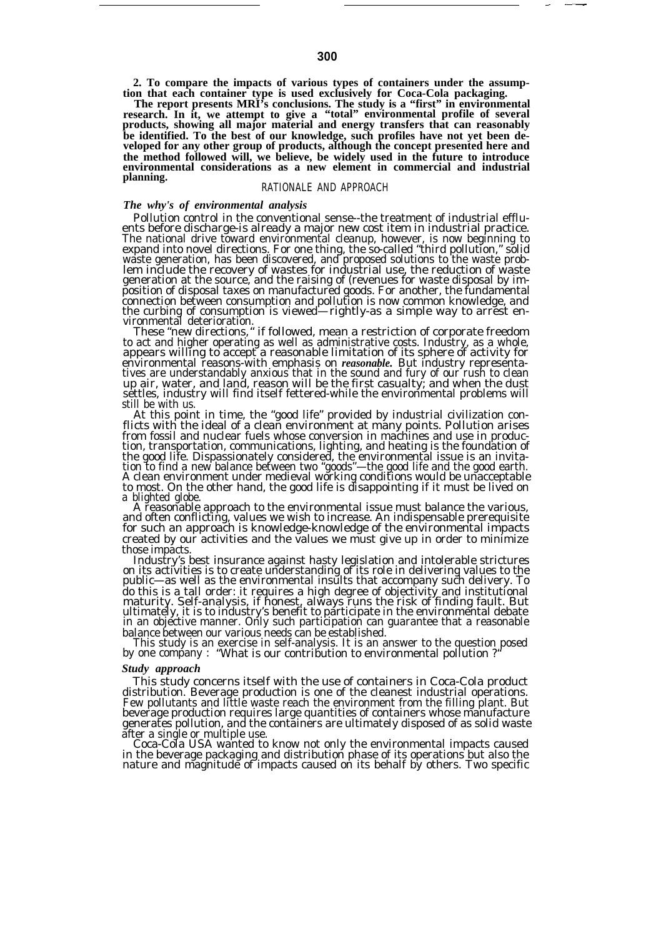**2. To compare the impacts of various types of containers under the assump-**

tion that each container type is used exclusively for Coca-Cola packaging.<br>The report presents MRI's conclusions. The study is a "first" in environmental<br>research. In it, we attempt to give a "total" environmental profile **products, showing all major material and energy transfers that can reasonably be identified. To the best of our knowledge, such profiles have not yet been developed for any other group of products, although the concept presented here and the method followed will, we believe, be widely used in the future to introduce environmental considerations as a new element in commercial and industrial planning.**

# RATIONALE AND APPROACH

# *The why's of environmental analysis*

Pollution control in the conventional sense--the treatment of industrial effluents before discharge-is already a major new cost item in industrial practice. The national drive toward environmental cleanup, however, is now beginning to expand into novel directions. For one thing, the so-called "third pollution," solid<br>waste generation, has been discovered, and proposed solutions to the waste prob-<br>lem include the recovery of wastes for industrial use, th position of disposal taxes on manufactured goods. For another, the fundamental connection between consumption and pollution is now common knowledge, and the curbing of consumption is viewed—rightly-as a simple way to arrest en-

vironmental deterioration. These "new directions," if followed, mean a restriction of corporate freedom to act and higher operating as well as administrative costs. Industry, as a whole, appears willing to accept a reasonable limitation of its sphere of activity for environmental reasons-with emphasis on *reasonable*. But industry representa-<br>tives are understandably anxious that in the sound and fury of our rush to clean<br>up air, water, and land, reason will be the first casualty; and settles, industry will find itself fettered-while the environmental problems will still be with us.

At this point in time, the "good life" provided by industrial civilization conflicts with the ideal of a clean environment at many points. Pollution arises from fossil and nuclear fuels whose conversion in machines and use in production, transportation, communications, lighting, and heating is the foundation of<br>the good life. Dispassionately considered, the environmental issue is an invita-<br>tion to find a new balance between two "goods"—the good life to most. On the other hand, the good life is disappointing if it must be lived on a blighted globe.

A reasonable approach to the environmental issue must balance the various, and often conflicting, values we wish to increase. An indispensable prerequisite for such an approach is knowledge-knowledge of the environmental impacts created by our activities and the values we must give up in order to minimize those impacts.

Industry's best insurance against hasty legislation and intolerable strictures on its activities is to create understanding of its role in delivering values to the public—as well as the environmental insults that accompany such delivery. To do this is a tall order: it requires a high degree of objectivity and institutional<br>maturity. Self-analysis, if honest, always runs the risk of finding fault. But<br>ultimately, it is to industry's benefit to participate in t in an objective manner. Only such participation can guarantee that a reasonable

balance between our various needs can be established. This study is an exercise in self-analysis. It is an answer to the question posed by one company : "What is our contribution to environmental pollution ?"

### *Study approach*

This study concerns itself with the use of containers in Coca-Cola product distribution. Beverage production is one of the cleanest industrial operations. Few pollutants and little waste reach the environment from the filling plant. But beverage production requires large quantities of containers whose manufacture generates pollution, and the containers are ultimately disposed of as solid waste after a single or multiple use. Coca-Cola USA wanted to know not only the environmental impacts caused

in the beverage packaging and distribution phase of its operations but also the nature and magnitude of impacts caused on its behalf by others. Two specific

— .—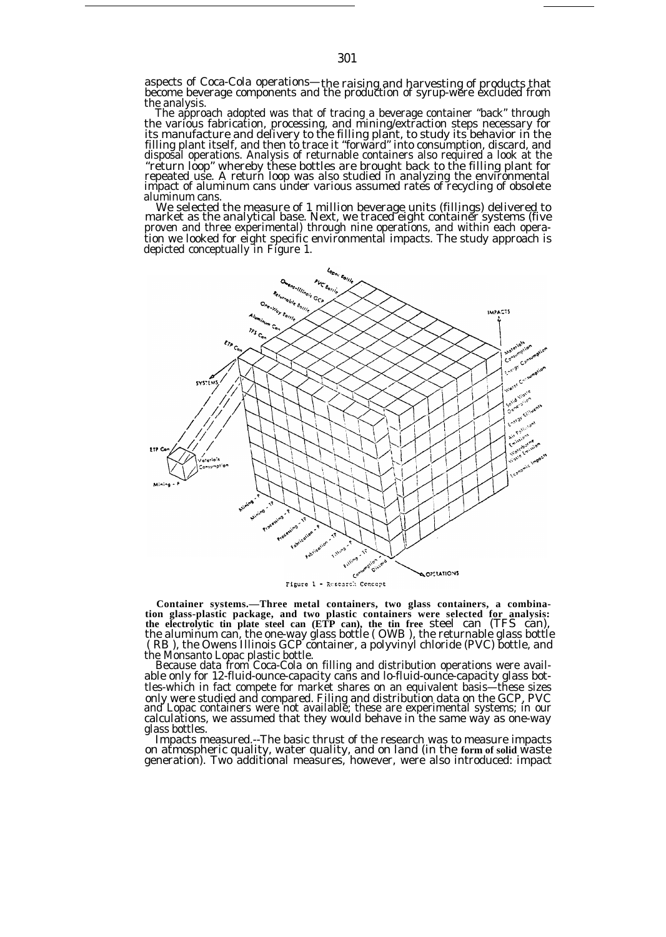aspects of Coca-Cola operations—the raising and harvesting of products that become beverage components and the production of syrup-were excluded from the analysis.

The approach adopted was that of tracing a beverage container "back" through the various fabrication, processing, and mining/extraction steps necessary for its manufacture and delivery to the filling plant, to study its behavior in the filling plant itself, and then to trace it "forward" into consumption, discard, and disposal operations. Analysis of returnable containers also required a look at the "return loop" whereby these bottles are brought back to the filling plant for repeated use. A return loop was also studied in analyzing the environmental impact of aluminum cans under various assumed rates of recycling of obsolete aluminum cans.

We selected the measure of 1 million beverage units (fillings) delivered to<br>market as the analytical base. Next, we traced eight container systems (five<br>proven and three experimental) through nine operations, and within ea tion we looked for eight specific environmental impacts. The study approach is depicted conceptually in Figure 1.



**Container systems.—Three metal containers, two glass containers, a combination glass-plastic package, and two plastic containers were selected for analysis: the electrolytic tin plate steel can (ETP can), the tin free** steel can (TFS can), the aluminum can, the one-way glass bottle ( OWB ), the returnable glass bottle ( RB ), the Owens Illinois GCP container, a polyvinyl chloride (PVC) bottle, and

the Monsanto Lopac plastic bottle. Because data from Coca-Cola on filling and distribution operations were available only for 12-fluid-ounce-capacity cans and lo-fluid-ounce-capacity glass bottles-which in fact compete for market shares on an equivalent basis—these sizes only were studied and compared. Filing and distribution data on the GCP, PVC<br>and Lopac containers were not available; these are experimental systems; in our<br>calculations, we assumed that they would behave in the same way a glass bottles.

Impacts measured.--The basic thrust of the research was to measure impacts on atmospheric quality, water quality, and on land (in the **form of solid** waste generation). Two additional measures, however, were also introduced: impact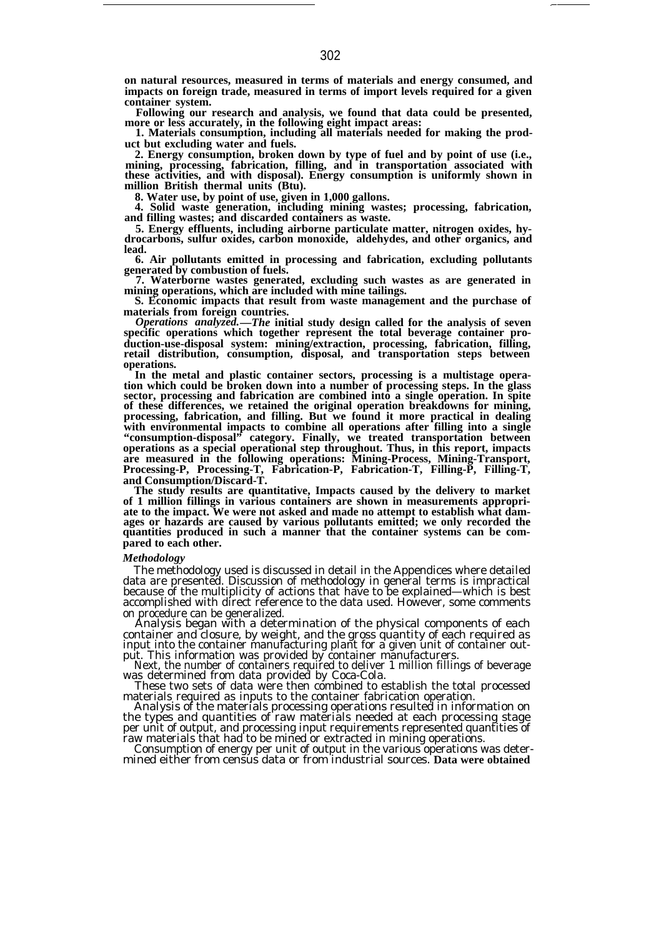**on natural resources, measured in terms of materials and energy consumed, and impacts on foreign trade, measured in terms of import levels required for a given container system.**

**Following our research and analysis, we found that data could be presented, more or less accurately, in the following eight impact areas:**

**1. Materials consumption, including all materials needed for making the product but excluding water and fuels.**

**2. Energy consumption, broken down by type of fuel and by point of use (i.e., mining, processing, fabrication, filling, and in transportation associated with these activities, and with disposal). Energy consumption is uniformly shown in million British thermal units (Btu).**

**8. Water use, by point of use, given in 1,000 gallons. 4. Solid waste generation, including mining wastes; processing, fabrication, and filling wastes; and discarded containers as waste.**

**5. Energy effluents, including airborne particulate matter, nitrogen oxides, hydrocarbons, sulfur oxides, carbon monoxide, aldehydes, and other organics, and lead.**

**6. Air pollutants emitted in processing and fabrication, excluding pollutants generated by combustion of fuels.**

**7. Waterborne wastes generated, excluding such wastes as are generated in mining operations, which are included with mine tailings.**

**S. Economic impacts that result from waste management and the purchase of materials from foreign countries.**

*Operations analyzed.—The* **initial study design called for the analysis of seven specific operations which together represent the total beverage container production-use-disposal system: mining/extraction, processing, fabrication, filling, retail distribution, consumption, disposal, and transportation steps between operations.**

**In the metal and plastic container sectors, processing is a multistage operation which could be broken down into a number of processing steps. In the glass sector, processing and fabrication are combined into a single operation. In spite of these differences, we retained the original operation breakdowns for mining, processing, fabrication, and filling. But we found it more practical in dealing with environmental impacts to combine all operations after filling into a single "consumption-disposal" category. Finally, we treated transportation between operations as a special operational step throughout. Thus, in this report, impacts are measured in the following operations: Mining-Process, Mining-Transport, Processing-P, Processing-T, Fabrication-P, Fabrication-T, Filling-P, Filling-T, and Consumption/Discard-T.**

**The study results are quantitative, Impacts caused by the delivery to market of 1 million fillings in various containers are shown in measurements appropriate to the impact. We were not asked and made no attempt to establish what damages or hazards are caused by various pollutants emitted; we only recorded the quantities produced in such a manner that the container systems can be compared to each other.**

#### *Methodology*

The methodology used is discussed in detail in the Appendices where detailed data are presentĕd. Discussion of methodology in general terms is impractical because of the multiplicity of actions that have to be explained—which is best accomplished with direct reference to the data used. However, some comments on procedure can be generalized.

Analysis began with a determination of the physical components of each container and closure, by weight, and the gross quantity of each required as input into the container manufacturing plant for a given unit of container out-

put. This information was provided by container manufacturers. Next, the number of containers required to deliver 1 million fillings of beverage was determined from data provided by Coca-Cola.

These two sets of data were then combined to establish the total processed materials required as inputs to the container fabrication operation.

Analysis of the materials processing operations resulted in information on the types and quantities of raw materials needed at each processing stage per unit of output, and processing input requirements represented quantities of raw materials that had to be mined or extracted in mining operations.

Consumption of energy per unit of output in the various operations was determined either from census data or from industrial sources. **Data were obtained** —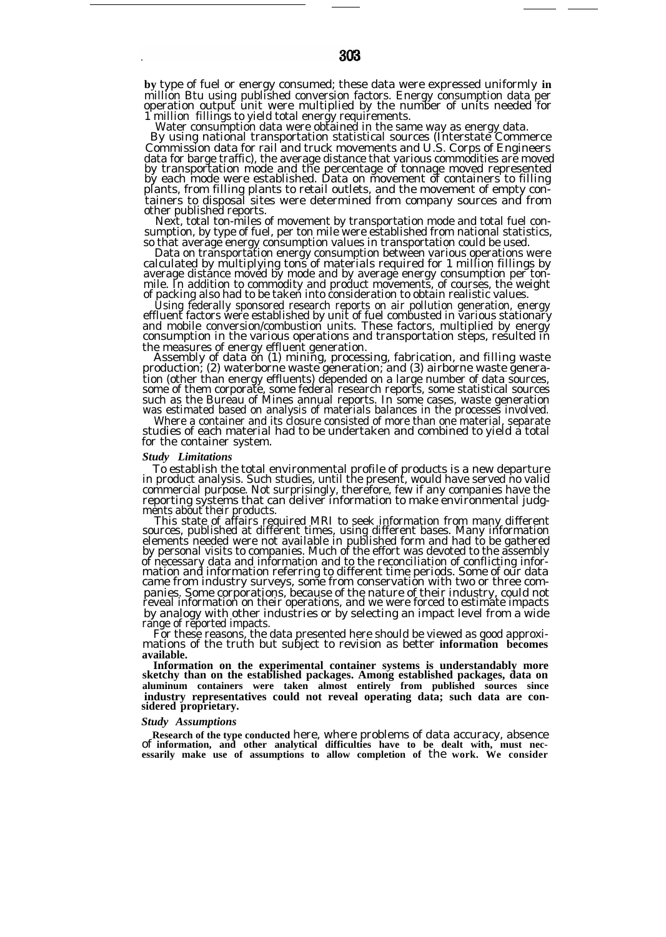**by** type of fuel or energy consumed; these data were expressed uniformly **in** million Btu using published conversion factors. Energy consumption data per operation output unit were multiplied by the number of units needed for 1 million fillings to yield total energy requirements.

Water consumption data were obtained in the same way as energy data.

By using national transportation statistical sources (Interstate Commerce Commission data for rail and truck movements and U.S. Corps of Engineers data for barge traffic), the average distance that various commodities are moved<br>by transportation mode and the percentage of tonnage moved represented<br>by each mode were established. Data on movement of containers to filli tainers to disposal sites were determined from company sources and from other published reports.

Next, total ton-miles of movement by transportation mode and total fuel consumption, by type of fuel, per ton mile were established from national statistics, so that average energy consumption values in transportation could be used.

Data on transportation energy consumption between various operations were calculated by multiplying tons of materials required for 1 million fillings by average distance moved by mode and by average energy consumption per tonmile. In addition to commodity and product movements, of courses, the weight of packing also had to be taken into consideration to obtain realistic values.

Using federally sponsored research reports on air pollution generation, energy effluent factors were established by unit of fuel combusted in various stationary and mobile conversion/combustion units. These factors, multiplied by energy consumption in the various operations and transportation steps, resulted in the measures of energy effluent generation.

Assembly of data on (1) mining, processing, fabrication, and filling waste production; (2) waterborne waste generation; and (3) airborne waste generation (other than energy effluents) depended on a large number of data sources, some of them corporate, some federal research reports, some statistical sources such as the Bureau of Mines annual reports. In some cases, waste generation was estimated based on analysis of materials balances in the processes involved.

Where a container and its closure consisted of more than one material, separate studies of each material had to be undertaken and combined to yield a total for the container system.

#### *Study Limitations*

To establish the total environmental profile of products is a new departure in product analysis. Such studies, until the present, would have served no valid commercial purpose. Not surprisingly, therefore, few if any companies have the reporting systems that can deliver information to make environmental judgments about their products.

This state of affairs required MRI to seek information from many different sources, published at different times, using different bases. Many information elements needed were not available in published form and had to be gathered by personal visits to companies. Much of the effort was devoted to the assembly of necessary data and information and to the reconciliation of conflicting infor-mation and information referring to different time periods. Some of our data came from industry surveys, some from conservation with two or three companies. Some corporations, because of the nature of their industry, could not reveal information on their operations, and we were forced to estimate impacts by analogy with other industries or by selecting an impact level from a wide range of reported impacts.

For these reasons, the data presented here should be viewed as good approximations of the truth but subject to revision as better **information becomes available.**

Information on the experimental container systems is understandably more<br>sketchy than on the established packages. Among established packages, data on<br>aluminum containers were taken almost entirely from published sources s

#### *Study Assumptions*

**Research of the type conducted** here, where problems of data accuracy, absence of **information, and other analytical difficulties have to be dealt with, must nec-essarily make use of assumptions to allow completion of** the **work. We consider**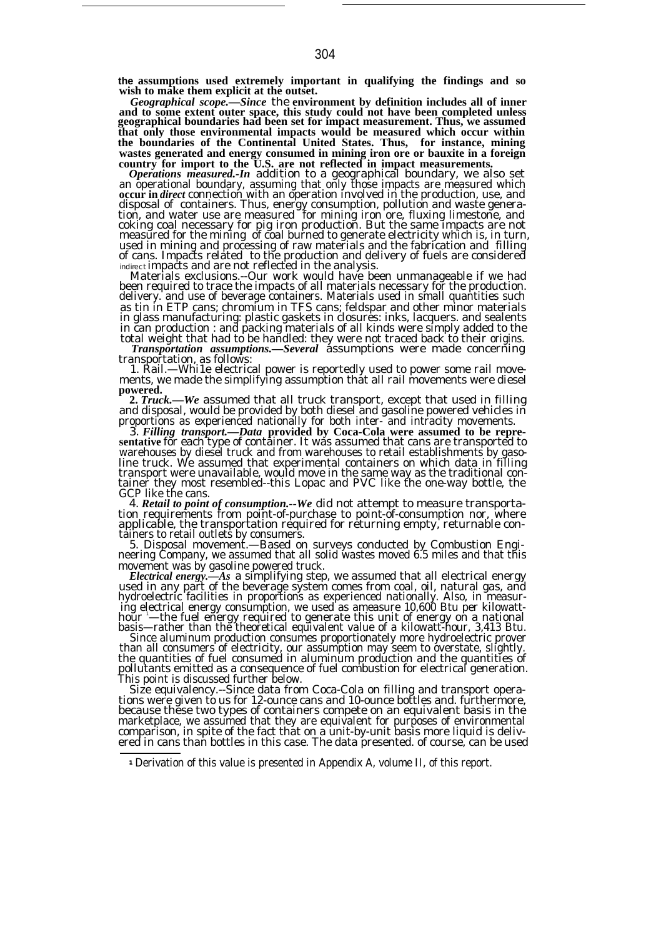**the assumptions used extremely important in qualifying the findings and so wish to make them explicit at the outset.**

*Geographical scope.—Since* the **environment by definition includes all of inner and to some extent outer space, this study could not have been completed unless geographical boundaries had been set for impact measurement. Thus, we assumed that only those environmental impacts would be measured which occur within the boundaries of the Continental United States. Thus, for instance, mining wastes generated and energy consumed in mining iron ore or bauxite in a foreign**

**country for import to the U.S. are not reflected in impact measurements.** *Operations measured.-In* addition to a geographical boundary, we also set an operational boundary, assuming that only those impacts are measured which **occur in** *direct* connection with an operation involved in the production, use, and disposal of containers. Thus, energy consumption, pollution and waste generation, and water use are measured for mining iron ore, fluxing limestone, and<br>coking coal necessary for pig iron production. But the same impacts are not<br>measured for the mining of coal burned to generate electricity which used in mining and processing of raw materials and the fabrication and filling of cans. Impacts related to the production and delivery of fuels are considered *indirect* impacts and are not reflected in the analysis.

Materials exclusions.--Our work would have been unmanageable if we had been required to trace the impacts of all materials necessary for the production. delivery. and use of beverage containers. Materials used in small quantities such as tin in ETP cans; chromium in TFS cans; feldspar and other minor materials in glass manufacturing: plastic gaskets in closures: inks, lacquers. and sealents in can production : and packing materials of all kinds were simply added to the total weight that had to be handled: they were not traced back to their origins.

*Transportation assumptions.—Several* assumptions were made concerning

transportation, as follows: 1. Rail.—Whi1e electrical power is reportedly used to power some rail movements, we made the simplifying assumption that all rail movements were diesel **powered.**

**2.** *Truck.—We* assumed that all truck transport, except that used in filling and disposal, would be provided by both diesel and gasoline powered vehicles in proportions as experienced nationally for both inter- and intracity movements.

3. *Filling transport.—Data* **provided by Coca-Cola were assumed to be repre-sentative** for each type of container. It was assumed that cans are transported to warehouses by diesel truck and from warehouses to retail establishments by gasoline truck. We assumed that experimental containers on which data in filling<br>transport were unavailable, would move in the same way as the traditional con-<br>tainer they most resembled--this Lopac and PVC like the one-way bo GCP like the cans.

4. *Retail to point of consumption.--We* did not attempt to measure transportation requirements from point-of-purchase to point-of-consumption nor, where applicable, the transportation required for returning empty, returnable con-

tainers to retail outlets by consumers. 5. Disposal movement.—Based on surveys conducted by Combustion Engineering Company, we assumed that all solid wastes moved 6.5 miles and that this movement was by gasoline powered truck.

*Electrical energy.—As* a simplifying step, we assumed that all electrical energy used in any part of the beverage system comes from coal, oil, natural gas, and hydroelectric facilities in proportions as experienced nationally. Also, in measuring electrical energy consumption, we used as ameasure 10,600 Btu per kilowatt-<br>hour '—the fuel energy required to generate this unit of energy on a national<br>basis—rather than the theoretical equivalent value of a kilowatt

Since aluminum production consumes proportionately more hydroelectric prover than all consumers of electricity, our assumption may seem to overstate, slightly.<br>the quantities of fuel consumed in aluminum production and the quantities of<br>pollutants emitted as a consequence of fuel combustion for ele This point is discussed further below.

Size equivalency.--Since data from Coca-Cola on filling and transport operations were given to us for 12-ounce cans and 10-ounce bottles and. furthermore, because these two types of containers compete on an equivalent basis in the marketplace, we assumed that they are equivalent for purposes of environmental comparison, in spite of the fact that on a unit-by-unit basis more liquid is delivered in cans than bottles in this case. The data presented. of course, can be used

<sup>1</sup> Derivation of this value is presented in Appendix A, volume II, of this report.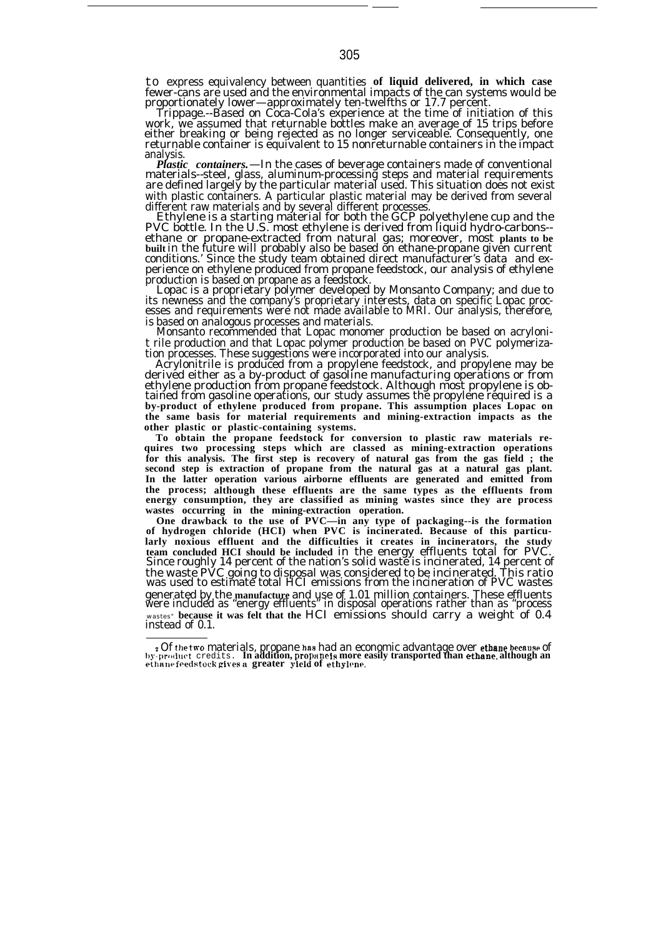to express equivalency between quantities **of liquid delivered, in which case** fewer-cans are used and the environmental impacts of the can systems would be proportionately lower—approximately ten-twelfths or 17.7 percent.

Trippage.--Based on Coca-Cola's experience at the time of initiation of this work, we assumed that returnable bottles make an average of 15 trips before either breaking or being rejected as no longer serviceable. Consequently, one returnable container is equivalent to 15 nonreturnable containers in the impact analysis.

*Plastic containers.*—In the cases of beverage containers made of conventional materials--steel, glass, aluminum-processing steps and material requirements are defined largely by the particular material used. This situation does not exist with plastic containers. A particular plastic material may be derived from several different raw materials and by several different processes.

Ethylene is a starting material for both the GCP polyethylene cup and the PVC bottle. In the U.S. most ethylene is derived from liquid hydro-carbons- ethane or propane-extracted from natural gas; moreover, most **plants to be built** in the future will probably also be based on ethane-propane given current conditions.' Since the study team obtained direct manufacturer's data and experience on ethylene produced from propane feedstock, our analysis of ethylene

production is based on propane as a feedstock. Lopac is a proprietary polymer developed by Monsanto Company; and due to its newness and the company's proprietary interests, data on specific Lopac processes and requirements were not made available to MRI. Our analysis, therefore,

is based on analogous processes and materials. Monsanto recommended that Lopac monomer production be based on acrylonit rile production and that Lopac polymer production be based on PVC polymerization processes. These suggestions were incorporated into our analysis.

Acrylonitrile is produced from a propylene feedstock, and propylene may be derived either as a by-product of gasoline manufacturing operations or from ethylene production from propane feedstock. Although most propylene is obtained from gasoline operations, our study assumes the propylene required is a **by-product of ethylene produced from propane. This assumption places Lopac on the same basis for material requirements and mining-extraction impacts as the other plastic or plastic-containing systems.**

**To obtain the propane feedstock for conversion to plastic raw materials requires two processing steps which are classed as mining-extraction operations for this analysis. The first step is recovery of natural gas from the gas field ; the second step is extraction of propane from the natural gas at a natural gas plant. In the latter operation various airborne effluents are generated and emitted from the process; although these effluents are the same types as the effluents from energy consumption, they are classified as mining wastes since they are process wastes occurring in the mining-extraction operation.**

**One drawback to the use of PVC—in any type of packaging--is the formation of hydrogen chloride (HCI) when PVC is incinerated. Because of this particularly noxious effluent and the difficulties it creates in incinerators, the study team concluded HCI should be included** in the energy effluents total for PVC. Since roughly 14 percent of the nation's solid waste is incinerated, 14 percent of the waste PVC going to disposal was considered to be incinerated. This ratio was used to estimate total HCI emissions from the incineration of PVC wastes generated by the **manufacture** and use of 1.01 million containers. These effluents were included as "energy effluents" in disposal operations rather than as "process wastes" **because it was felt that the** HCI emissions should carry a weight of 0.4 instead of 0.1.

e Of the two materials, propane has had an economic advantage over ethane because of<br>by-product\_credits . In addition, propanels more easily transported than ethane, although an<br>ethane feedstock gives a greater yield of et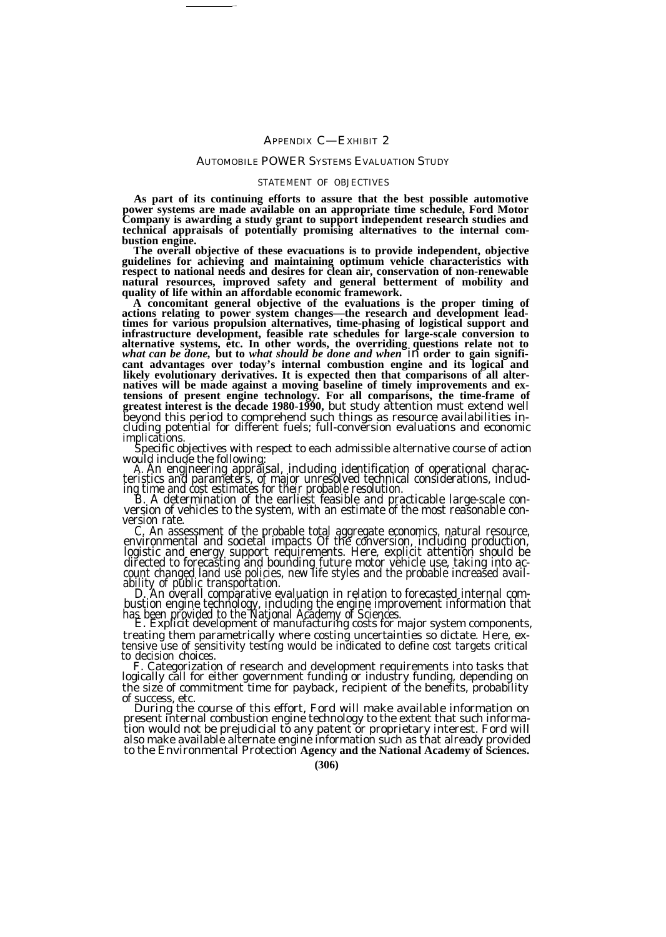# AUTOMOBILE POWER SYSTEMS EVALUATION STUDY

—

# STATEMENT OF OBJECTIVES

**As part of its continuing efforts to assure that the best possible automotive power systems are made available on an appropriate time schedule, Ford Motor Company is awarding a study grant to support independent research studies and technical appraisals of potentially promising alternatives to the internal combustion engine.**

**The overall objective of these evacuations is to provide independent, objective guidelines for achieving and maintaining optimum vehicle characteristics with respect to national needs and desires for clean air, conservation of non-renewable natural resources, improved safety and general betterment of mobility and quality of life within an affordable economic framework.**

**A concomitant general objective of the evaluations is the proper timing of actions relating to power system changes—the research and development leadtimes for various propulsion alternatives, time-phasing of logistical support and infrastructure development, feasible rate schedules for large-scale conversion to alternative systems, etc. In other words, the overriding questions relate not to** *what can be done,* **but to** *what should be done and when* in **order to gain significant advantages over today's internal combustion engine and its logical and likely evolutionary derivatives. It is expected then that comparisons of all alter-natives will be made against a moving baseline of timely improvements and extensions of present engine technology. For all comparisons, the time-frame of greatest interest is the decade 1980-1990,** but study attention must extend well beyond this period to comprehend such things as resource availabilities in-cluding potential for different fuels; full-conversion evaluations and economic implications.

Specific objectives with respect to each admissible alternative course of action

would include the following:<br>A. An engineering appraisal, including identification of operational characteristics and parameters, of major unresolved technical considerations, including time and cost estimates for their pr

version rate.

C. An assessment of the probable total aggregate economics, natural resource,<br>environmental and societal impacts Of the conversion, including production,<br>logistic and energy support requirements. Here, explicit attention s directed to forecasting and bounding future motor vehicle use, taking into account changed land use policies, new life styles and the probable increased avail-

ability of public transportation.<br>D. An overall comparative evaluation in relation to forecasted internal com-<br>bustion engine technology, including the engine improvement information that<br>has been provided to the National

treating them parametrically where costing uncertainties so dictate. Here, ex-tensive use of sensitivity testing would be indicated to define cost targets critical to decision choices.

F. Categorization of research and development requirements into tasks that logically call for either government funding or industry funding, depending on the size of commitment time for payback, recipient of the benefits, probability of success, etc. During the course of this effort, Ford will make available information on

present internal combustion engine technology to the extent that such information would not be prejudicial tŏ any patent õr proprietary interest. Ford will<br>also make available alternate engine information such as that already provided to the Environmental Protection **Agency and the National Academy of Sciences.**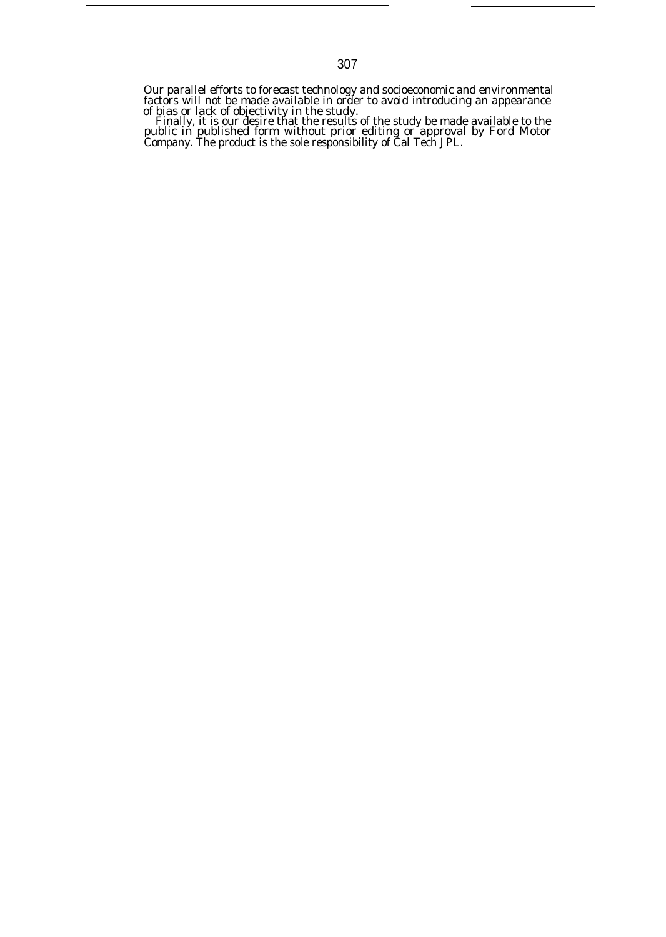Our parallel efforts to forecast technology and socioeconomic and environmental factors will not be made available in order to avoid introducing an appearance

of bias or lack of objectivity in the study. Finally, it is our desire that the results of the study be made available to the public in published form without prior editing or approval by Ford Motor Company. The product is the sole responsibility of Cal Tech JPL.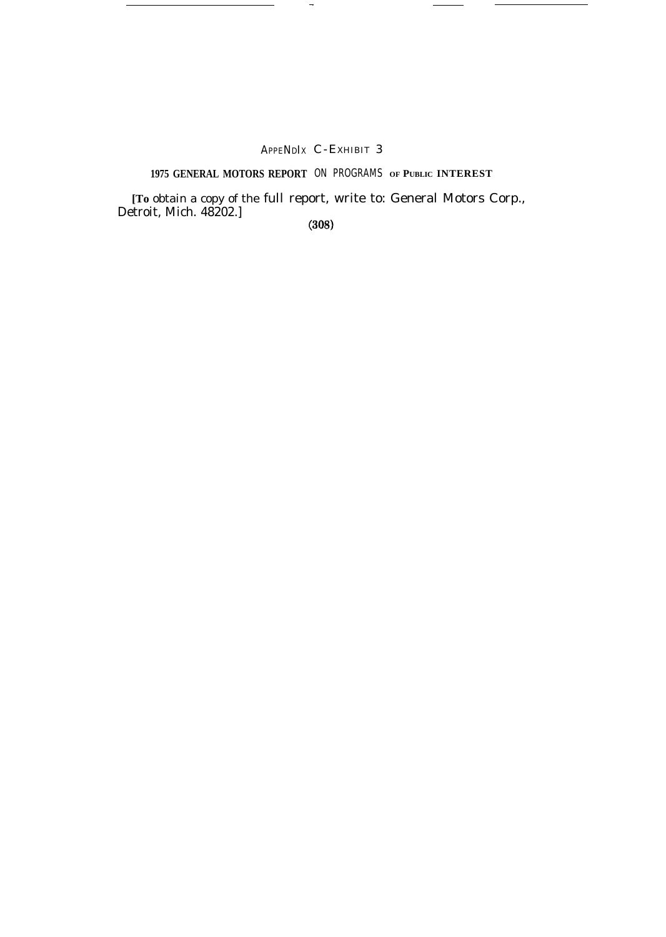# APPENDIX C-EXHIBIT 3

—

# **1975 GENERAL MOTORS REPORT** ON PROGRAMS **OF PUBLIC INTEREST**

**[To** obtain a copy of the full report, write to: General Motors Corp., Detroit, Mich. 48202.]

 $(308)$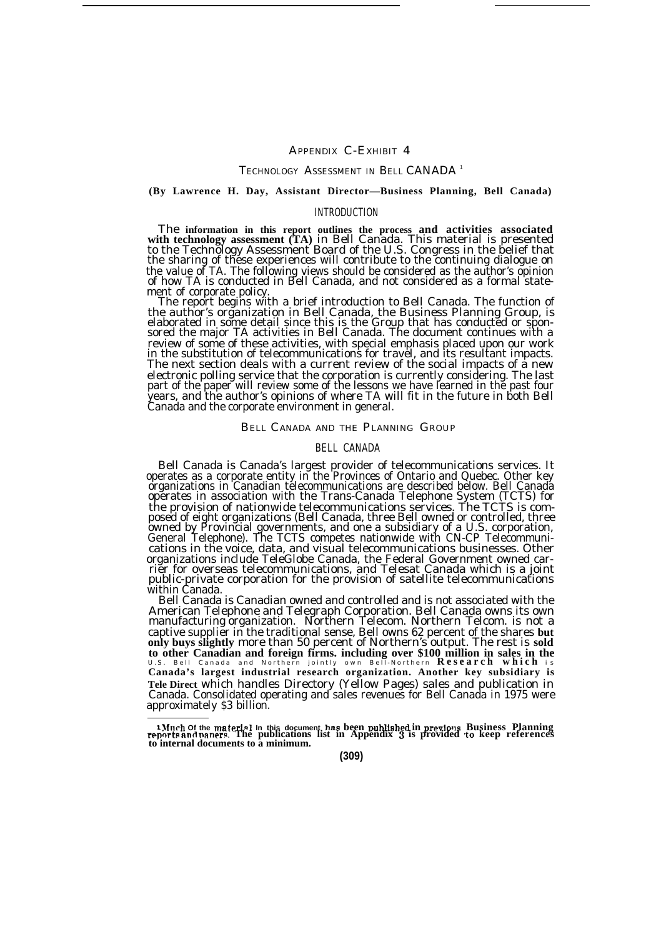# APPENDIX C-EXHIBIT 4

# TECHNOLOGY ASSESSMENT IN BELL CANADA<sup>1</sup>

# **(By Lawrence H. Day, Assistant Director—Business Planning, Bell Canada)**

### INTRODUCTION

The information in this report outlines the process and activities associated<br>with technology assessment (TA) in Bell Canada. This material is presented<br>to the Technology Assessment Board of the U.S. Congress in the belief the sharing of these experiences will contribute to the continuing dialogue on the value of TA. The following views should be considered as the author's opinion of how TA is conducted in Bell Canada, and not considered as a formal statement of corporate policy.

The report begins with a brief introduction to Bell Canada. The function of<br>the author's organization in Bell Canada, the Business Planning Group, is<br>elaborated in some detail since this is the Group that has conducted or review of some of these activities, with special emphasis placed upon our work in the substitution of telecommunications for travel, and its resultant impacts. The next section deals with a current review of the social impacts of a new electronic polling service that the corporation is currently considering. The last part of the paper will review some of the lessons we have learned in the past four years, and the author's opinions of where TA will fit in the future in both Bell Canada and the corporate environment in general.

### BELL CANADA AND THE PLANNING GROUP

# BELL CANADA

Bell Canada is Canada's largest provider of telecommunications services. It operates as a corporate entity in the Provinces of Ontario and Quebec. Other key organizations in Canadian telecommunications are described below. Bell Canada operates in association with the Trans-Canada Telephone System (TCTS) for the provision of nationwide telecommunications services. The TCTS is com-<br>posed of eight organizations (Bell Canada, three Bell owned or controlled, three<br>owned by Provincial governments, and one a subsidiary of a U.S. cor General Telephone). The TCTS competes nationwide with CN-CP Telecommunications in the voice, data, and visual telecommunications businesses. Other organizations include TeleGlobe Canada, the Federal Government owned car-rier for overseas telecommunications, and Telesat Canada which is a joint public-private corporation for the provision of satellite telecommunications within Canada.

Bell Canada is Canadian owned and controlled and is not associated with the American Telephone and Telegraph Corporation. Bell Canada owns its own manufacturing organization. Northern Telecom. Northern Telcom. is not a captive supplier in the traditional sense, Bell owns 62 percent of the shares **but only buys slightly** more than 50 percent of Northern's output. The rest is **sold to other Canadian and foreign firms. including over \$100 million in sales in the** U.S. Bell Canada and Northern jointly own Bell-Northern **Research which** <sup>i</sup> <sup>s</sup> **Canada's largest industrial research organization. Another key subsidiary is Tele Direct** which handles Directory (Yellow Pages) sales and publication in Canada. Consolidated operating and sales revenues for Bell Canada in 1975 were approximately \$3 billion.

<sup>&</sup>lt;sup>1</sup>Much Of the material in this document has been published in previous Business Planning<br>reports and papers. The publications list in Appendix 3 is provided to keep references **to internal documents to a minimum.**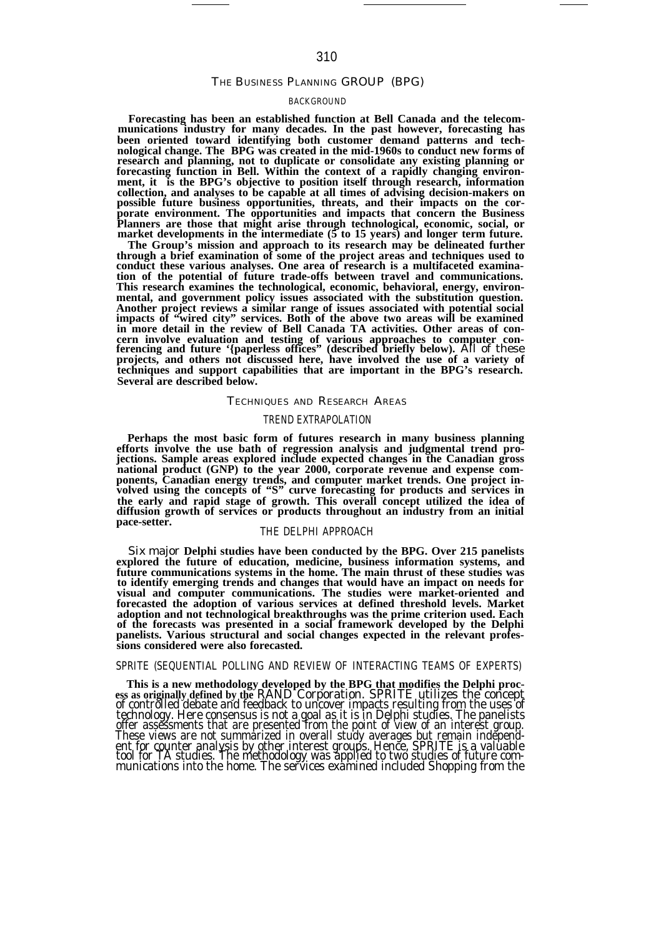# THE BUSINESS PLANNING GROUP (BPG)

# BACKGROUND

**Forecasting has been an established function at Bell Canada and the telecommunications industry for many decades. In the past however, forecasting has been oriented toward identifying both customer demand patterns and technological change. The BPG was created in the mid-1960s to conduct new forms of research and planning, not to duplicate or consolidate any existing planning or forecasting function in Bell. Within the context of a rapidly changing environment, it is the BPG's objective to position itself through research, information collection, and analyses to be capable at all times of advising decision-makers on possible future business opportunities, threats, and their impacts on the corporate environment. The opportunities and impacts that concern the Business Planners are those that might arise through technological, economic, social, or market developments in the intermediate (5 to 15 years) and longer term future.**

**The Group's mission and approach to its research may be delineated further through a brief examination of some of the project areas and techniques used to conduct these various analyses. One area of research is a multifaceted examination of the potential of future trade-offs between travel and communications. This research examines the technological, economic, behavioral, energy, environmental, and government policy issues associated with the substitution question. Another project reviews a similar range of issues associated with potential social impacts of "wired city" services. Both of the above two areas will be examined in more detail in the review of Bell Canada TA activities. Other areas of concern involve evaluation and testing of various approaches to computer con-ferencing and future '{paperless offices" (described briefly below).** All of these **projects, and others not discussed here, have involved the use of a variety of techniques and support capabilities that are important in the BPG's research. Several are described below.**

#### TECHNIQUES AND RESEARCH AREAS

# TREND EXTRAPOLATION

**Perhaps the most basic form of futures research in many business planning efforts involve the use bath of regression analysis and judgmental trend projections. Sample areas explored include expected changes in the Canadian gross national product (GNP) to the year 2000, corporate revenue and expense com-ponents, Canadian energy trends, and computer market trends. One project involved using the concepts of "S" curve forecasting for products and services in the early and rapid stage of growth. This overall concept utilized the idea of diffusion growth of services or products throughout an industry from an initial pace-setter.**

## THE DELPHI APPROACH

Six major **Delphi studies have been conducted by the BPG. Over 215 panelists explored the future of education, medicine, business information systems, and future communications systems in the home. The main thrust of these studies was to identify emerging trends and changes that would have an impact on needs for visual and computer communications. The studies were market-oriented and forecasted the adoption of various services at defined threshold levels. Market adoption and not technological breakthroughs was the prime criterion used. Each of the forecasts was presented in a social framework developed by the Delphi panelists. Various structural and social changes expected in the relevant professions considered were also forecasted.**

# SPRITE (SEQUENTIAL POLLING AND REVIEW OF INTERACTING TEAMS OF EXPERTS)

This is a new methodology developed by the BPG that modifies the Delphi process as originally defined by the RAND Corporation. SPRITE utilizes the concept of controlled debate and feedback to uncover impacts resulting from technology. Here consensus is not a goal as it is in Delphi studies. The panelists<br>offer assessments that are presented from the point of view of an interest group.<br>These views are not summarized in overall study averages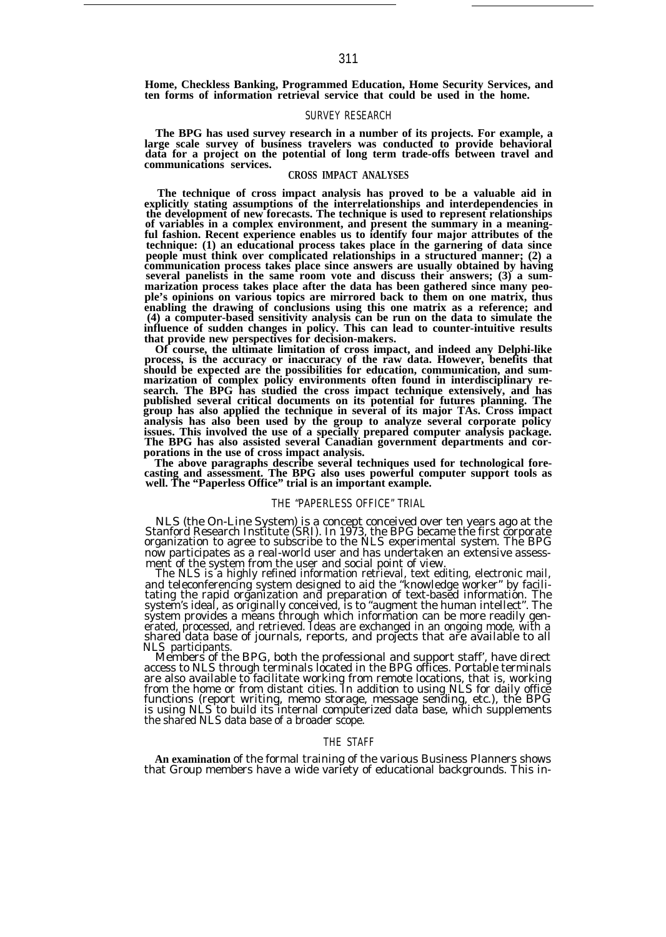**Home, Checkless Banking, Programmed Education, Home Security Services, and ten forms of information retrieval service that could be used in the home.**

#### SURVEY RESEARCH

The BPG has used survey research in a number of its projects. For example, a large scale survey of business travelers was conducted to provide behavioral data for a project on the potential of long term trade-offs between **communications services.**

# **CROSS IMPACT ANALYSES**

**The technique of cross impact analysis has proved to be a valuable aid in explicitly stating assumptions of the interrelationships and interdependencies in the development of new forecasts. The technique is used to represent relationships of variables in a complex environment, and present the summary in a meaning-ful fashion. Recent experience enables us to identify four major attributes of the technique: (1) an educational process takes place in the garnering of data since people must think over complicated relationships in a structured manner; (2) a communication process takes place since answers are usually obtained by having several panelists in the same room vote and discuss their answers; (3) a summarization process takes place after the data has been gathered since many peo-ple's opinions on various topics are mirrored back to them on one matrix, thus enabling the drawing of conclusions using this one matrix as a reference; and (4) a computer-based sensitivity analysis can be run on the data to simulate the influence of sudden changes in policy. This can lead to counter-intuitive results that provide new perspectives for decision-makers.**

**Of course, the ultimate limitation of cross impact, and indeed any Delphi-like process, is the accuracy or inaccuracy of the raw data. However, benefits that should be expected are the possibilities for education, communication, and sum-marization of complex policy environments often found in interdisciplinary research. The BPG has studied the cross impact technique extensively, and has published several critical documents on its potential for futures planning. The group has also applied the technique in several of its major TAs. Cross impact** analysis has also been used by the group to analyze several corporate policy<br>issues. This involved the use of a specially prepared computer analysis package.<br>The BPG has also assisted several Canadian government department **porations in the use of cross impact analysis.**

**The above paragraphs describe several techniques used for technological fore-casting and assessment. The BPG also uses powerful computer support tools as well. The "Paperless Office" trial is an important example.**

### THE "PAPERLESS OFFICE" TRIAL

NLS (the On-Line System) is a concept conceived over ten years ago at the Stanford Research Institute (SRI). In 1973, the BPG became the first corporate organization to agree to subscribe to the NLS experimental system. The BPG now participates as a real-world user and has undertaken an extensive assess-ment of the system from the user and social point of view.

The NLS is a highly refined information retrieval, text editing, electronic mail, and teleconferencing system designed to aid the "knowledge worker" by facili-<br>tating the rapid organization and preparation of text-based information. The<br>system's ideal, as originally conceived, is to "augment the human i system provides a means through which information can be more readily generated, processed, and retrieved. Ideas are exchanged in an ongoing mode, with a shared data base of journals, reports, and projects that are available to all NLS participants

Members of the BPG, both the professional and support staff', have direct access to NLS through terminals located in the BPG offices. Portable terminals are also available to facilitate working from remote locations, that is, working from the home or from distant cities. In addition to using NLS for daily office functions (report writing, memo storage, message sending, etc.), the BPG is using NLS to build its internal computerized data base, which supplements the shared NLS data base of a broader scope.

# THE STAFF

**An examination** of the formal training of the various Business Planners shows that Group members have a wide variety of educational backgrounds. This in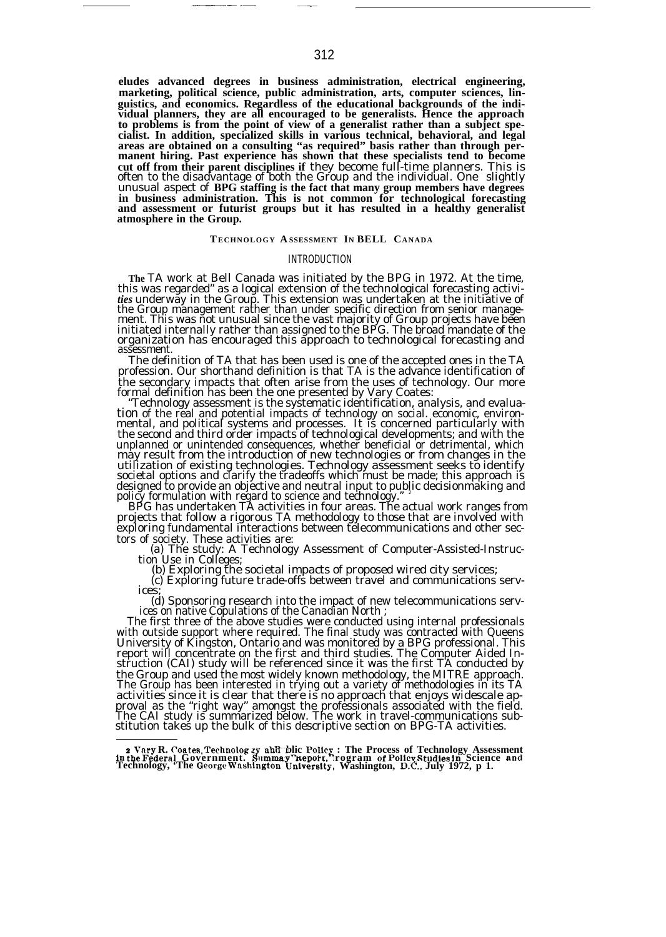**eludes advanced degrees in business administration, electrical engineering, marketing, political science, public administration, arts, computer sciences, linguistics, and economics. Regardless of the educational backgrounds of the individual planners, they are all encouraged to be generalists. Hence the approach to problems is from the point of view of a generalist rather than a subject specialist. In addition, specialized skills in various technical, behavioral, and legal areas are obtained on a consulting "as required" basis rather than through permanent hiring. Past experience has shown that these specialists tend to become cut off from their parent disciplines if** they become full-time planners. This is often to the disadvantage of both the Group and the individual. One slightly unusual aspect of **BPG staffing is the fact that many group members have degrees in business administration. This is not common for technological forecasting and assessment or futurist groups but it has resulted in a healthy generalist atmosphere in the Group.**

### **TECHNOLOGY A SSESSMENT IN BELL CANADA**

### INTRODUCTION

**The** TA work at Bell Canada was initiated by the BPG in 1972. At the time, this was regarded" as a logical extension of the technological forecasting activi*ties* underway in the Group. This extension was undertaken at the initiative of the Group management rather than under specific direction from senior management. This was not unusual since the vast majority of Group projects have been initiated internally rather than assigned to the BPG. The broad mandate of the organization has encouraged this approach to technological forecasting and assessment.

The definition of TA that has been used is one of the accepted ones in the TA profession. Our shorthand definition is that TA is the advance identification of the secondary impacts that often arise from the uses of technology. Our more formal definition has been the one presented by Vary Coates:

Technology assessment is the systematic identification, analysis, and evaluation of the real and potential impacts of technology on social. economic, environ-<br>mental, and political systems and processes. It is concerned particularly with the second and third order impacts of technological developments; and with the unplanned or unintended consequences, whether beneficial or detrimental, which may result from the introduction of new technologies or from changes in the utilization of existing technologies. Technology assessment seeks to identify societal options and clarify the tradeoffs which must be made; this approach is designed to provide an objective and neutral input to public decisionmaking and<br>policy formulation with regard to science and technology." <sup>2</sup>

BPG has undertaken TA activities in four areas. The actual work ranges from projects that follow a rigorous TA methodology to those that are involved with exploring fundamental interactions between telecommunications and other sectors of society. These activities are:

(a) The study: A Technology Assessment of Computer-Assisted-Instruc-tion Use in Colleges; (b) Exploring the societal impacts of proposed wired city services;

(c) Exploring future trade-offs between travel and communications services;

(d) Sponsoring research into the impact of new telecommunications serv-ices on native Copulations of the Canadian North ;

The first three of the above studies were conducted using internal professionals with outside support where required. The final study was contracted with Queens University of Kingston, Ontario and was monitored by a BPG professional. This report will concentrate on the first and third studies. The Computer Aided Instruction (CAI) study will be referenced since it was the first TA conducted by the Group and used the most widely known methodology, the MITRE approach. The Group has been interested in trying out a variety of methodologies in its TA activities since it is clear that there is no approach that enjoys widescale ap-proval as the "right way" amongst the professionals associated with the field. The CAI study is summarized below. The work in travel-communications sub-stitution takes up the bulk of this descriptive section on BPG-TA activities.

——..— —.

s Vary R. Coates, Technolog 29 and blic Policy : The Process of Technology Assessment و<br>Inthe Federal Government. Summay Report, Trogram of Policy Studies in Science and<br>Technology, 'The George Washington University, Wash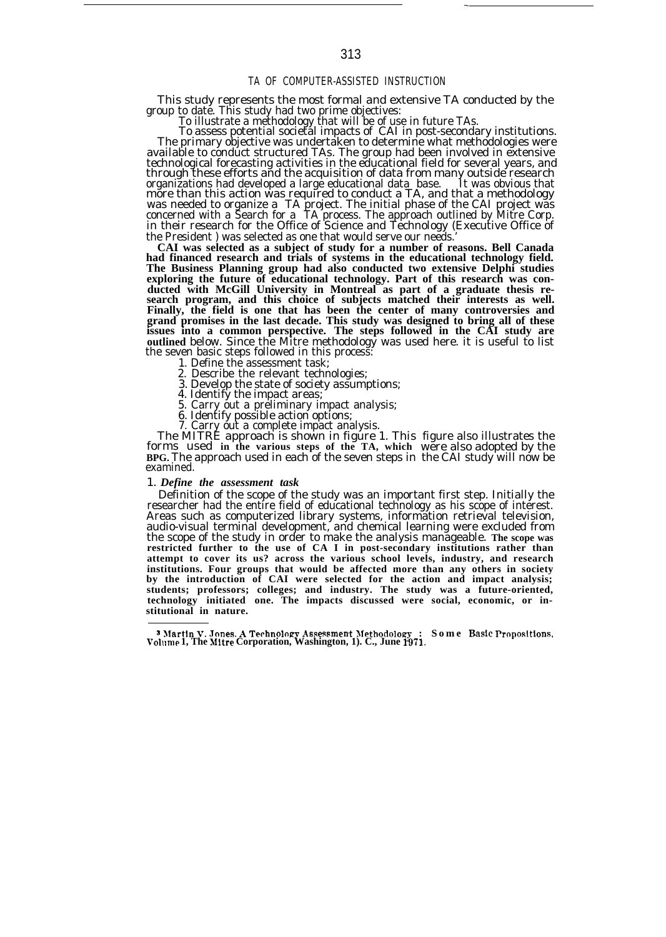# TA OF COMPUTER-ASSISTED INSTRUCTION

This study represents the most formal and extensive TA conducted by the

group to date. This study had two prime objectives: To illustrate a methodology that will be of use in future TAs. To assess potential societal impacts of CAI in post-secondary institutions. The primary objective was undertaken to determine what methodologies were available to conduct structured TAs. The group had been involved in extensive technological forecasting activities in the educational field for several years, and through these efforts and the acquisition of data from many outside research organizations had developed a large educational data base. It was obvious that more than this action was required to conduct a TA, and that a methodology was needed to organize a TA project. The initial phase of the CAI project was concerned with a Search for a TA process. The approach outlined by Mitre Corp. in their research for the Office of Science and Technology (Executive Office of the President ) was selected as one that would serve our needs.

**CAI was selected as a subject of study for a number of reasons. Bell Canada had financed research and trials of systems in the educational technology field. The Business Planning group had also conducted two extensive Delphi studies exploring the future of educational technology. Part of this research was conducted with McGill University in Montreal as part of a graduate thesis research program, and this choice of subjects matched their interests as well. Finally, the field is one that has been the center of many controversies and grand promises in the last decade. This study was designed to bring all of these issues into a common perspective. The steps followed in the CAI study are outlined** below. Since the Mitre methodology was used here. it is useful to list the seven basic steps followed in this process:

- 1. Define the assessment task;
- 2. Describe the relevant technologies;
- 3. Develop the state of society assumptions;
- 4. Identify the impact areas;
- 5. Carry out a preliminary impact analysis;
- 
- 

6. Identify possible action options; 7. Carry out a complete impact analysis. The MITRE approach is shown in figure 1. This figure also illustrates the forms used **in the various steps of the TA, which BPG.** The approach used in each of the seven steps in examined. were also adopted by the the CAI study will now be

# 1. *Define the assessment task*

Definition of the scope of the study was an important first step. Initially the researcher had the entire field of educational technology as his scope of interest. Areas such as computerized library systems, information retrieval television, audio-visual terminal development, and chemical learning were excluded from the scope of the study in order to make the analysis manageable. **The scope was restricted further to the use of CA I in post-secondary institutions rather than attempt to cover its us? across the various school levels, industry, and research institutions. Four groups that would be affected more than any others in society by the introduction of CAI were selected for the action and impact analysis; students; professors; colleges; and industry. The study was a future-oriented, technology initiated one. The impacts discussed were social, economic, or institutional in nature.**

.

<sup>3</sup> Martin V. Jones. A Technology Assessment Methodology : Some Basic Propositions,<br>Volume 1, The Mitre Corporation, Washington, 1). C., June 1971.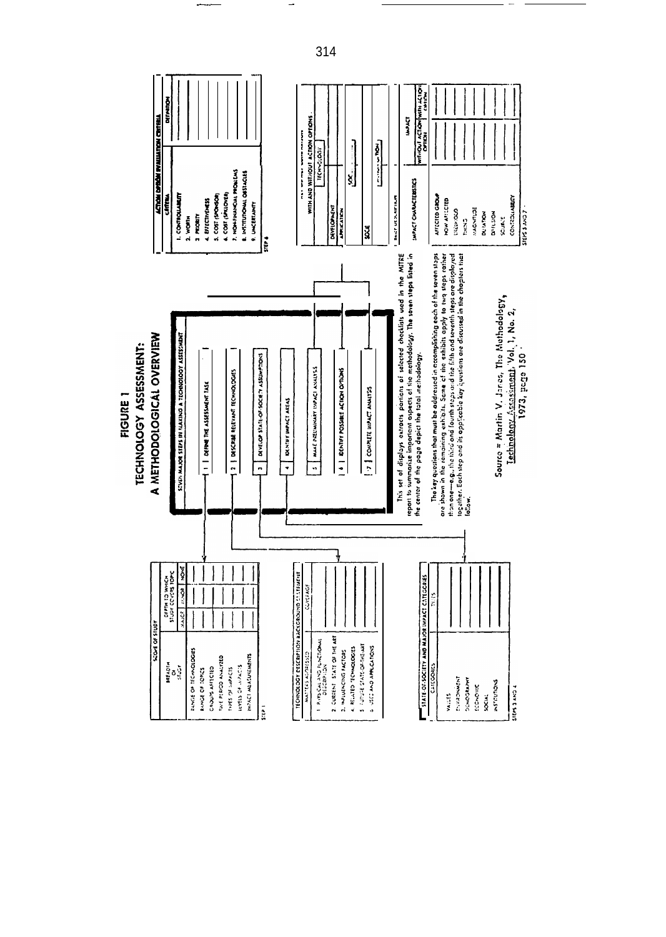

314

—-— — —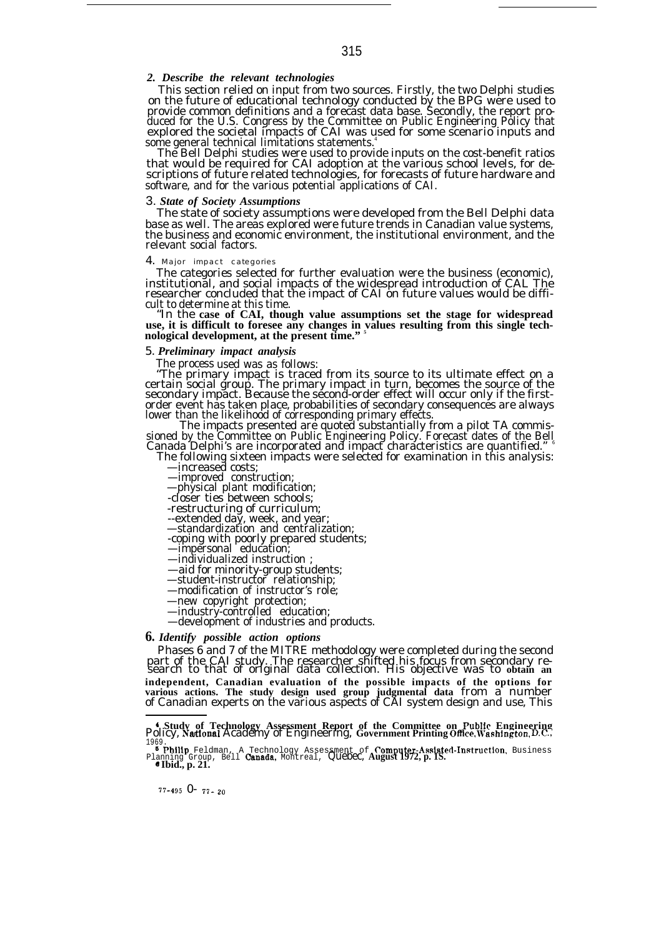# *2. Describe the relevant technologies*

This section relied on input from two sources. Firstly, the two Delphi studies on the future of educational technology conducted by the BPG were used to provide common definitions and a forecast data base. Secondly, the report pro-<br>duced for the U.S. Congress by the Committee on Public Engineering Policy that<br>explored the societal impacts of CAI was used for some scenario some general technical limitations statements.

The Bell Delphi studies were used to provide inputs on the cost-benefit ratios that would be required for CAI adoption at the various school levels, for descriptions of future related technologies, for forecasts of future hardware and software, and for the various potential applications of CAI.

### 3. *State of Society Assumptions*

The state of society assumptions were developed from the Bell Delphi data base as well. The areas explored were future trends in Canadian value systems, the business and economic environment, the institutional environment, and the relevant social factors.

#### 4. *Major impact categories*

The categories selected for further evaluation were the business (economic),<br>institutional, and social impacts of the widespread introduction of CAL The<br>researcher concluded that the impact of CAI on future values would be cult to determine at this time.

"In the **case of CAI, though value assumptions set the stage for widespread** use, it is difficult to foresee any changes in values resulting from this single tech**nological development, at the present time." <sup>5</sup>**

## 5. *Preliminary impact analysis*

The process used was as follows:<br>"The primary impact is traced from its source to its ultimate effect on a<br>certain social group. The primary impact in turn, becomes the source of the<br>secondary impact. Because the second-or

order event has taken place, probabilities of secondary consequences are always<br>lower than the likelihood of corresponding primary effects.<br>The impacts presented are quoted substantially from a pilot TA commis-<br>sioned by t

—increased costs;

—improved construction;

—physical plant modification;

-closer ties between schools;

-restructuring of curriculum; --extended day, week, and year; —standardization and centralization;

-coping with poorly prepared students; —impersonal education;

—individualized instruction ;

—aid for minority-group students;

—student-instructor relationship; —modification of instructor's role;

—new copyright protection;

—industry-controlled education;

—development of industries and products.

# *6. Identify possible action options*

Phases 6 and 7 of the MITRE methodology were completed during the second<br>part of the CAI study. The researcher shifted his focus from secondary re-<br>search to that of original data collection. His objective was to obtain an **independent, Canadian evaluation of the possible impacts of the options for various actions. The study design used group judgmental data** from a number of Canadian experts on the various aspects of CAI system design and use, This

**A Study of Technology Assessment Report of the Committee on Public Engineering** Policy, Nakional Academy of Engineering, **Government Printing O~ce, W-ashin@on,** DC.,

1969.<br>**<sup>5</sup> Philip** Feldman, A Technology Assessment of **Computer-Assisted-Instruction**, Business<br>Planning Group, Bell **Canada**, Montreal, **Quebec, August 1972, p. 1S.**<br>*Canada, p. 21.* 

77-495 0- <sup>77</sup> -20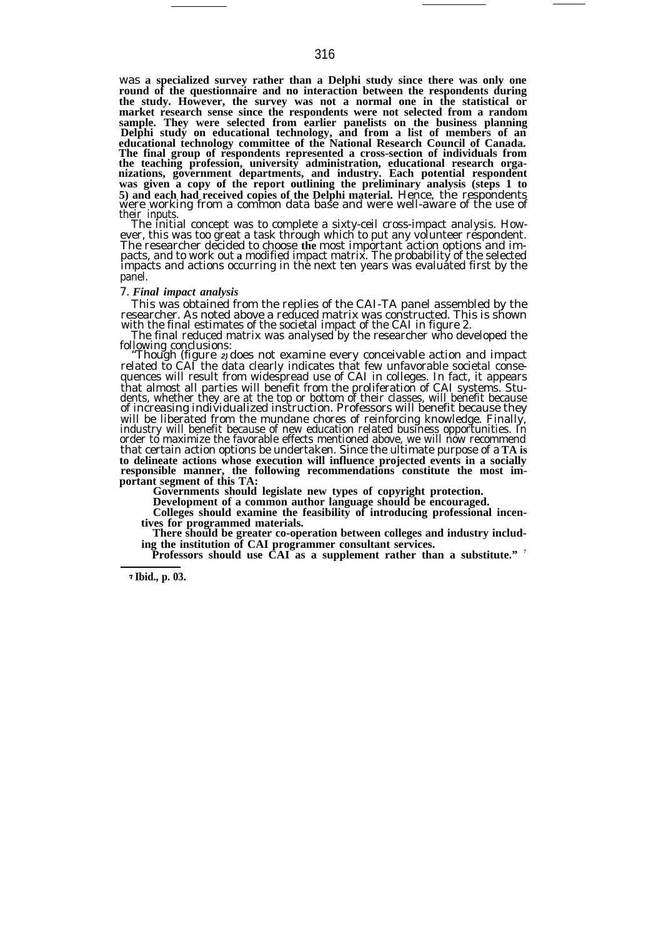was **a specialized survey rather than a Delphi study since there was only one round of the questionnaire and no interaction between the respondents during the study. However, the survey was not a normal one in the statistical or market research sense since the respondents were not selected from a random sample. They were selected from earlier panelists on the business planning Delphi study on educational technology, and from a list of members of an** educational technology committee of the National Research Council of Canada.<br>The final group of respondents represented a cross-section of individuals from<br>the teaching profession, university administration, educational re **was given a copy of the report outlining the preliminary analysis (steps 1 to 5) and each had received copies of the Delphi material.** Hence, the respondents were working from a common data base and were well-aware of the use of their inputs.

The initial concept was to complete a sixty-ceil cross-impact analysis. However, this was too great a task through which to put any volunteer respondent. The researcher decided to choose the most important action options and impacts, and to work out a modified impact matrix. The probability of the selected impacts and actions occurring in the next ten years was evaluated fi panel.

### 7. *Final impact analysis*

This was obtained from the replies of the CAI-TA panel assembled by the researcher. As noted above a reduced matrix was constructed. This is shown with the final estimates of the societal impact of the CAI in figure 2.

The final reduced matrix was analysed by the researcher who developed the

following conclusions: "Though (figure **2)** does not examine every conceivable action and impact related to CAI the data clearly indicates that few unfavorable societal consequences will result from widespread use of CAI in colleges. In fact, it appears that almost all parties will benefit from the proliferation of CAI systems. Students, whether they are at the top or bottom of their classes, will benefit because of increasing individualized instruction. Professors will benefit because they will be liberated from the mundane chores of reinforcing knowledge. Finally, industry will benefit because of new education related business opportunities. In order to maximize the favorable effects mentioned above, we will now recommend that certain action options be undertaken. Since the ultimate purpose of a TA is<br>to delineate actions whose execution will influence projected events in a socially<br>responsible manner, the following recommendations constitu **portant segment of this TA:**

**Governments should legislate new types of copyright protection.**

**Development of a common author language should be encouraged.**

**Colleges should examine the feasibility of introducing professional incentives for programmed materials.**

**There should be greater co-operation between colleges and industry includ-**

**ing the institution of CAI programmer consultant services. Professors should use CAI as a supplement rather than a substitute." <sup>7</sup>**

**~ Ibid., p. 03.**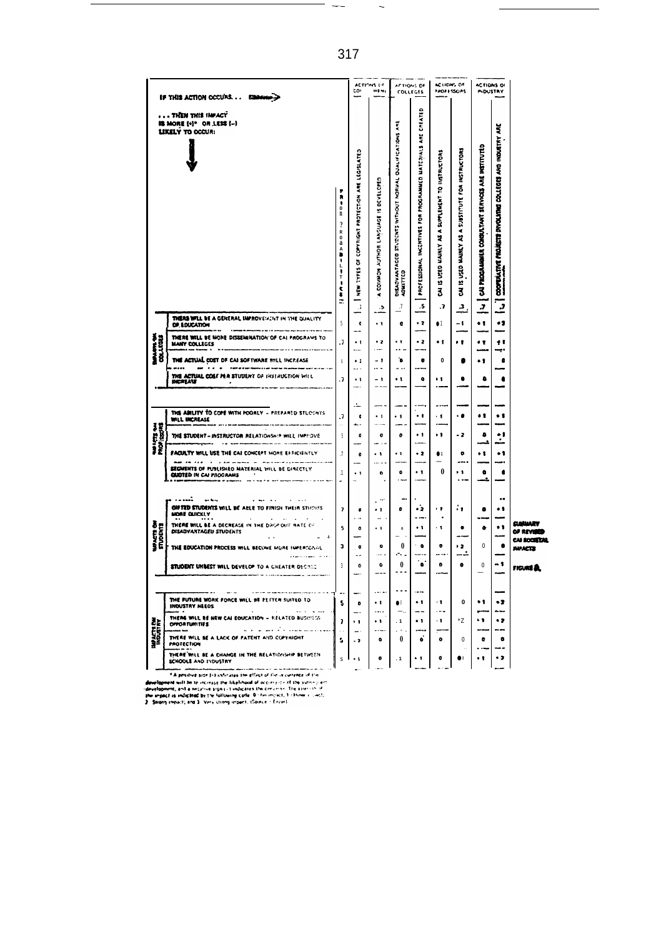| IF THIS ACTION OCCURS EQUIPMENT                                         |                                                                                                                                                                                                                                                                                                                     |                                                                                                                                                      | ACTIONS OF<br><b>cov</b><br>145.41                                                                |                                                                                                            | AFTIONS OF<br><b>COLLEGES</b>                                                       |                                                                               | <b>ACTIONS OF</b><br><b>PROFESSORS</b>                                 |                                                               | <b>ACTIONS OF</b><br><b>INDUSTRY</b>                                   |                                                                                                    |                                                                                    |
|-------------------------------------------------------------------------|---------------------------------------------------------------------------------------------------------------------------------------------------------------------------------------------------------------------------------------------------------------------------------------------------------------------|------------------------------------------------------------------------------------------------------------------------------------------------------|---------------------------------------------------------------------------------------------------|------------------------------------------------------------------------------------------------------------|-------------------------------------------------------------------------------------|-------------------------------------------------------------------------------|------------------------------------------------------------------------|---------------------------------------------------------------|------------------------------------------------------------------------|----------------------------------------------------------------------------------------------------|------------------------------------------------------------------------------------|
| . THEN THIS IMPACT<br>IS MORE (+)* OR LESS (-)<br>LIKELY TO OCCUR:<br>n |                                                                                                                                                                                                                                                                                                                     | $\ddot{\tilde{}}$<br>$\ddot{\mathbf{0}}$<br>$\overline{\mathbf{?}}$<br>R<br>$\pmb{0}$<br>a<br>$\hat{\bullet}$<br>$\frac{1}{2}$<br>T<br>J,<br>î<br>÷. | LEGISLATE <sub>3</sub><br>Į<br><b>MOTECTION</b><br>COPYRIGHT<br>ö<br><b>EBAK!</b><br>è<br>$\cdot$ | IS DEVELOPER<br><b>SOMMAN ROHICK MONTOD</b><br>$\blacktriangleleft$<br>.5                                  | č<br>STUDENTS WITHOUT NORMAL DUALIFICATIONS<br>DISADVANTAGED<br>ADMITTED<br>$\cdot$ | CREATED<br>PROFESSIONAL INCENTIVES FOR PROGRAMMED MATERIALS ARE<br>${\bf .5}$ | <b>USTRUCTORS</b><br>IS USED MAINLY AS A SUPPLEMENT TO<br>3<br>$\cdot$ | IS USED MAINLY AS A SUBSTITUTE FOR INSTRUCTORS<br>Z<br>2      | CAI PROGRAMMER CONSULTANT SERVICES ARE INSTITUTED<br>5                 | š<br><b>INDUSTRY</b><br>COLLEGES AND<br>COOPERATIVE PROJECTS INVOLVING<br>$\tilde{\boldsymbol{J}}$ |                                                                                    |
| <b>RANCTS SH</b>                                                        | THERE WILL BE A GENERAL IMPROVEMENT IN THE QUALITY<br>OF EDUCATION                                                                                                                                                                                                                                                  | 5                                                                                                                                                    | $\pmb{\epsilon}$                                                                                  | --<br>$\ddot{\phantom{1}}$                                                                                 | $\bullet$                                                                           | $\cdot$ 2                                                                     | •1                                                                     | - 1                                                           | $\bullet$ t                                                            | .,                                                                                                 |                                                                                    |
|                                                                         | THERE WILL BE MONE DISSEMINATION OF CAI PROGRAMS TO<br>MANY COLLEGES                                                                                                                                                                                                                                                | $\cdot$                                                                                                                                              | $\ddot{\phantom{1}}$                                                                              | $\bullet$ 2                                                                                                | $\cdot$ T                                                                           | $\cdot$ 2                                                                     | $\bullet$ $\bullet$                                                    | . .                                                           | ٠ŧ                                                                     | ÷.                                                                                                 |                                                                                    |
|                                                                         | <b>THE ACTUAL COST OF CAI SOFTWARE WILL INCREASE</b><br>and the article of the continuum continuum company of the continuum continuum continuum continuum continuum continuum continuum continuum continuum continuum continuum continuum continuum continuum continuum continuum cont                              | s                                                                                                                                                    | <b>Service</b><br>$\bullet$ 1<br>$\sim$                                                           | $\cdots$<br>- 1<br>$\ddotsc$                                                                               | <br>'n<br>$ -$                                                                      | ۰<br>---                                                                      | $\bf{0}$                                                               | ۰                                                             |                                                                        | ÷<br>$\bullet$                                                                                     |                                                                                    |
|                                                                         | THE ACTUAL COST PER STUDENT OF INSTRUCTION WILL<br><b>DICALAST</b>                                                                                                                                                                                                                                                  | $\cdot$                                                                                                                                              | $\ddot{\phantom{1}}$                                                                              | - 1<br>$\mathbf{a}$                                                                                        | $\ddot{\phantom{1}}$                                                                | ۰                                                                             | Ĥ                                                                      | ۰                                                             | ۰                                                                      | $\bullet$                                                                                          |                                                                                    |
|                                                                         | THE ABILITY TO COPE WITH POORLY - PREPARED STUDENTS<br>WILL INCREASE<br>THE STUDEN? - INSTRUCTOR RELATIONSHIP WILL IMPHOVE<br>FACULTY WILL USE THE CAI CONCEPT MORE EFFICIENTLY<br>---------------<br><b>SEGMENTS OF PUSLISHED MATERIAL WILL BE DIRECTLY</b><br><b>QUOTED IN CAI PROGRAMS</b>                       | .7<br>à.<br>5<br>$\cdot$<br>$\cdot$ 1                                                                                                                | d.<br>¢<br>د ب<br>٠<br>$\pmb{\mathfrak{o}}$<br>$\ddot{\phantom{1}}$<br>$\ddot{\phantom{a}}$       | ∽.<br>$\cdot$ 1<br>$\bullet$<br>÷.<br>$\cdot$ $\cdot$<br>o                                                 | . .<br>۰<br>$\cdot$ 1<br>۰<br>$\sim$                                                | $\ddot{\phantom{0}}$<br>٠,<br>. 2<br>$\cdot$ 1<br>a d                         | -<br>$\cdot$ 1<br>٠١<br>$\bullet$<br>$\bf{0}$                          | $\cdot$ a<br>- 2<br>$\bullet$<br><br>, ,<br>$\cdot$ . $\cdot$ | $\bullet$<br>۰<br>J.<br>٠.<br>۰<br>L.                                  | $\bullet$ t<br>$\ddot{\cdot}$<br>.,<br>$\bullet$                                                   |                                                                                    |
| <b>WAACTS ON</b><br>STUDENTS                                            | <br>$\sim$ and $\sim$ $\sim$<br>GIFTED STUDENTS WILL BE ARLE TO FINISH THEIR STUDIES<br>MORE QUICKLY<br><b>Service</b> State<br>THERE WILL BE A DECREASE IN THE DAGP OUT RATE CO<br>DISADVANTAGEU STUDENTS<br>THE EDUCATION PROCESS WILL BECOME MURE INPERIONAL<br>STUDENT UNBEST WILL DEVELOP TO A GHEATER DECREE. | Y.<br>5<br>з<br>$\overline{\mathbf{3}}$                                                                                                              | $\bullet$<br>$\ddot{\phantom{a}}$<br>$\pmb{\mathsf{o}}$<br>$\bullet$<br>u.<br>o                   | $\ddot{\phantom{a}}$<br>$\ddot{\phantom{a}}$<br>. .<br>$\mathbf{r}$<br>$\cdot$ $\cdot$<br>o<br><br>۰<br>-- | ш.<br>۰<br>$\mathbf 0$<br>$\bf{0}$<br>.-. .<br>$\pmb{0}$<br>$\sim$ $\sim$ $\sim$    | د٠<br>- -- -<br>$\ddot{\phantom{0}}$<br>$\bullet$<br>۰.                       | i y<br>$\ddot{\phantom{0}}$<br>$\cdot$ 1<br>$\bullet$<br><br>¢         | ÷.<br>$\bullet$<br>х.<br>د (<br><br>$\bullet$                 | $\bullet$<br>٠<br>0<br>0                                               | <br>$^{\bullet}$<br>$\ddot{\phantom{1}}$<br>$\bullet$<br>- 1                                       | والمنتحت<br><b>OF REVISED</b><br>CAI SOCIETAL<br><b>JWACTS</b><br>FIGURE <b>EL</b> |
| <b>WAATTE DE</b>                                                        | THE FUTURE WORK FORCE WILL BE PETTER SUITED TO<br>INOUSTRY NEEDS<br>THERE WILL BE NEW CAL EQUICATION - RELATED BUSINESS<br><b>OFFORTUNITIES</b><br>والمستسقين وأوالاساط الانداد<br>THERE WILL BE A LACK OF PATENT AND COPYHIGHT<br>PROTECTION<br>THERE WILL BE A CHANGE IN THE RELATIONSHIP BETWEEN                 | 5<br>7<br>5<br>Ś                                                                                                                                     | ۰<br>$\ddot{\phantom{1}}$<br><u>.</u><br>- 2<br>$\ddot{\phantom{1}}$                              | $\cdot$ t<br><br>$\ddot{\phantom{1}}$<br><br>o<br>$\bullet$                                                | $\sim$ $\sim$<br>$\bullet$<br>$\cdot$ 1<br>$\cdots$<br>0<br>$\cdot$ 1               | $\ddot{\phantom{1}}$<br>--<br>$\ddot{\phantom{0}}$<br>ó<br>٠.                 | ٠ŧ<br>محمد<br>$\cdot$ 1<br>$\bullet$<br>$\bullet$                      | $\mathbf{0}$<br>۰z<br>0<br>×.<br>$\bullet$                    | $\bullet$ 1<br>۰,<br>e<br>$\ddot{\phantom{0}}$<br>$\ddot{\phantom{0}}$ | •2<br>.,<br>۰<br>٠,                                                                                |                                                                                    |
|                                                                         | SCHOOLS AND INDUSTRY                                                                                                                                                                                                                                                                                                |                                                                                                                                                      |                                                                                                   |                                                                                                            |                                                                                     |                                                                               |                                                                        |                                                               |                                                                        |                                                                                                    |                                                                                    |

**ECHOOLS AND INDUSTRY**<br> **ECHOOLS AND INDUSTRY**<br> **ECONOMISTIC INTERFERIENCE IN ECONOMIST CONTINUES INTO A SUPPORT OF THE CONSULTANT OF THE CONSULTANT OF THE CONSULTANT OF THE CONSULTANT OF THE CONSULTANT OF THE CONSULTANT O** 

—. .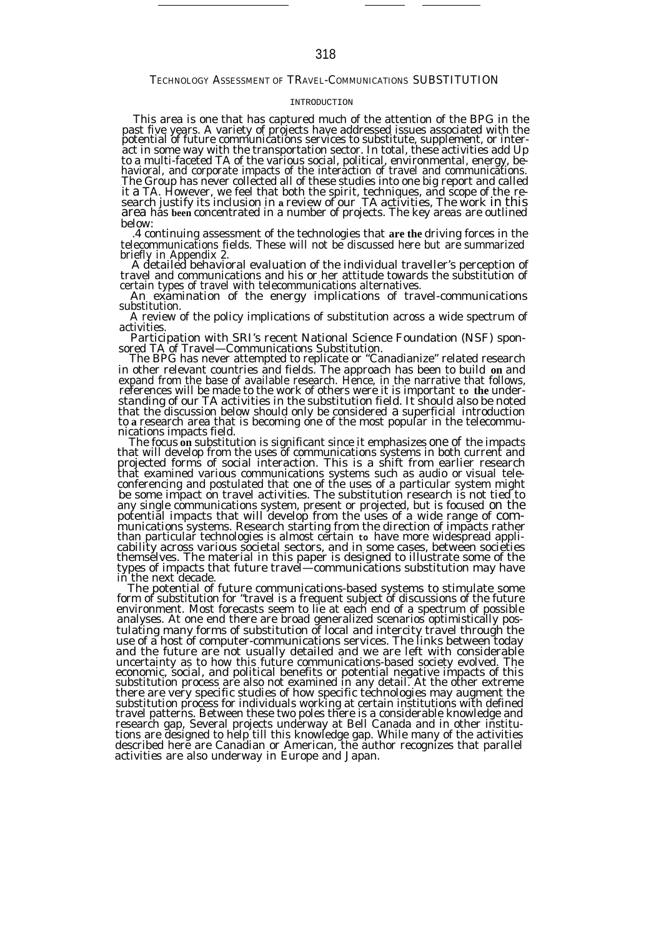# TECHNOLOGY ASSESSMENT OF TRAVEL-COMMUNICATIONS SUBSTITUTION

### INTRODUCTION

This area is one that has captured much of the attention of the BPG in the past five years. A variety of projects have addressed issues associated with the potential of future communications services to substitute, supplement, or interact in some way with the transportation sector. In total, these activities add Up to a multi-faceted TA of the various social, political, environmental, energy, behavioral, and corporate impacts of the interaction of travel and communications.<br>The Group has never collected all of these studies into one big report and called<br>it a TA. However, we feel that both the spirit, techniques, below:

.4 continuing assessment of the technologies that **are the** driving forces in the telecommunications fields. These will not be discussed here but are summarized

briefly in Appendix 2. A detailed behavioral evaluation of the individual traveller's perception of travel and communications and his or her attitude towards the substitution of certain types of travel with telecommunications alternatives.

An examination of the energy implications of travel-communications substitution.

A review of the policy implications of substitution across a wide spectrum of activities.

Participation with SRI's recent National Science Foundation (NSF) sponsored TA of Travel—Communications Substitution. The BPG has never attempted to replicate or "Canadianize" related research

in other relevant countries and fields. The approach has been to build **on** and expand from the base of available research. Hence, in the narrative that follows, references will be made to the work of others were it is important **to the** understanding of our TA activities in the substitution field. It should also be noted that the discussion below should only be considered a superficial introduction to **a** research area that is becoming one of the most popular in the telecommunications impacts field.

The focus **on** substitution is significant since it emphasizes one of the impacts that will develop from the uses of communications systems in both current and projected forms of social interaction. This is a shift from earlier research that examined various communications systems such as audio or visual teleconferencing and postulated that one of the uses of a particular system might be some impact on travel activities. The substitution research is not tied to any single communications system, present or projected, but is focused on the<br>potential impacts that will develop from the uses of a wide range of com-<br>munications systems. Research starting from the direction of impacts r than particular technologies is almost certain to have more widespread applicability across various societal sectors, and in some cases, between societies<br>themselves. The material in this paper is designed to illustrate so

The potential of future communications-based systems to stimulate some form of substitution for "travel is a frequent subject of discussions of the future environment. Most forecasts seem to lie at each end of a spectrum of possible analyses. At one end there are broad generalized scenarios optimistically postulating many forms of substitution of local and intercity travel through the use of a host of computer-communications services. The links between today and the future are not usually detailed and we are left with considerable<br>uncertainty as to how this future communications-based society evolved. The<br>economic, social, and political benefits or potential negative impacts o there are very specific studies of how specific technologies may augment the<br>substitution process for individuals working at certain institutions with defined travel patterns. Between these two poles there is a considerable knowledge and research gap, Several projects underway at Bell Canada and in other institu-tions are designed to help till this knowledge gap. While many of the activities described here are Canadian or American, the author recognizes that parallel activities are also underway in Europe and Japan.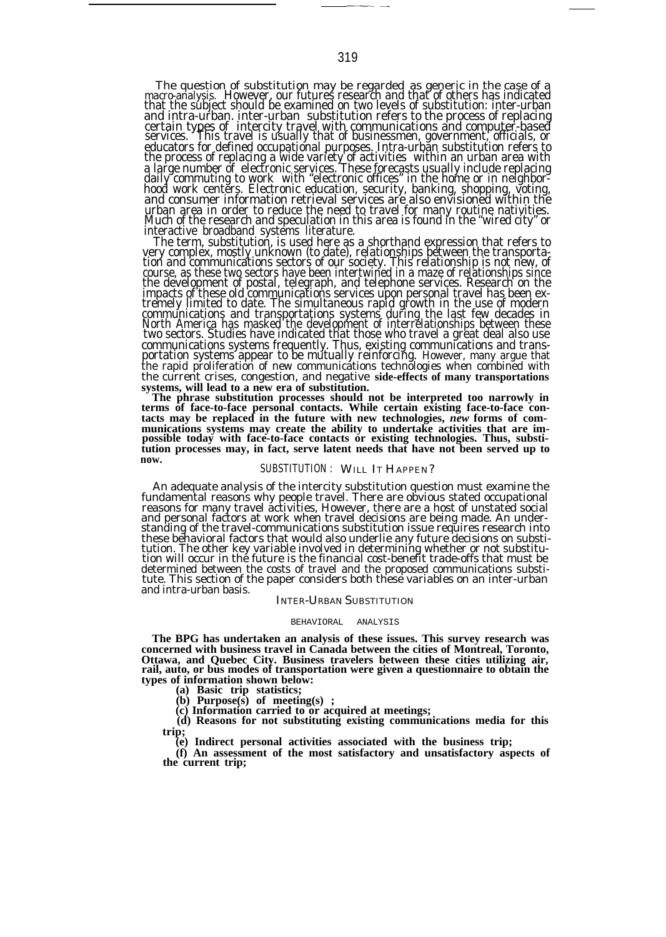The question of substitution may be regarded as generic in the case of a macro-analysis. However, our futures research and that of others has indicated<br>that the subject should be examined on two levels of substitution: inter-urban<br>and intra-urban. inter-urban substitution refers to the proces certain types of intercity travel with communications and computer-based<br>services. This travel is usually that of businessmen, government, officials, or educators for defined occupational purposes. Intra-urban substitution refers to the process of replacing a wide variety of activities within an urban area with a large number of electronic services. These forecasts usually include replacing daily commuting to work with "electronic offices" in the home or in neighbor-hood work centers. Electronic education, security, banking, shopping, voting, and consumer information retrieval services are also envisioned within the urban area in order to reduce the need to travel for many routine nativities. Much of the research and speculation in this area is found in the "wired city" or in<u>te</u>ractive broadband systems literature.

The term, substitution, is used here as a shorthand expression that refers to very complex, mostly unknown (to date), relationships between the transportation and communications sectors of our society. This relationship is not new, of course, as these two sectors have been intertwined in a maze of r communications and transportations systems during the last few decades in<br>North America has masked the development of interrelationships between these<br>two sectors. Studies have indicated that those who travel a great deal communications systems frequently. Thus, existing communications and trans-portation systems appear to be mutually reinforcing. However, many argue that the rapid proliferation of new communications technologies when combined with the current crises, congestion, and negative **side-effects of many transportations systems, will lead to a new era of substitution. The phrase substitution processes should not be interpreted too narrowly in**

**terms of face-to-face personal contacts. While certain existing face-to-face con**tacts may be replaced in the future with new technologies, new forms of com-<br>munications systems may create the ability to undertake activities that are im-<br>possible today with face-to-face contacts or existing technologie **tution processes may, in fact, serve latent needs that have not been served up to now.**

# SUBSTITUTION : WILL IT HAPPEN?

An adequate analysis of the intercity substitution question must examine the fundamental reasons why people travel. There are obvious stated occupational reasons for many travel activities, However, there are a host of unstated social and personal factors at work when travel decisions are being made. An under-standing of the travel-communications substitution issue requires research into these behavioral factors that would also underlie any future decisions on substitution. The other key variable involved in determining whether or not substitution will occur in the future is the financial cost-benefit trad determined between the costs of travel and the proposed communications substi-tute. This section of the paper considers both these variables on an inter-urban and intra-urban basis.

#### INTER-URBAN SUBSTITUTION

#### BEHAVIORAL ANALYSIS

**The BPG has undertaken an analysis of these issues. This survey research was concerned with business travel in Canada between the cities of Montreal, Toronto, Ottawa, and Quebec City. Business travelers between these cities utilizing air, rail, auto, or bus modes of transportation were given a questionnaire to obtain the types of information shown below:**

**(a) Basic trip statistics;**

**(b) Purpose(s) of meeting(s) ;**

**(c) Information carried to or acquired at meetings;**

**(d) Reasons for not substituting existing communications media for this trip;**

**(e) Indirect personal activities associated with the business trip;**

**(f) An assessment of the most satisfactory and unsatisfactory aspects of the current trip;**

——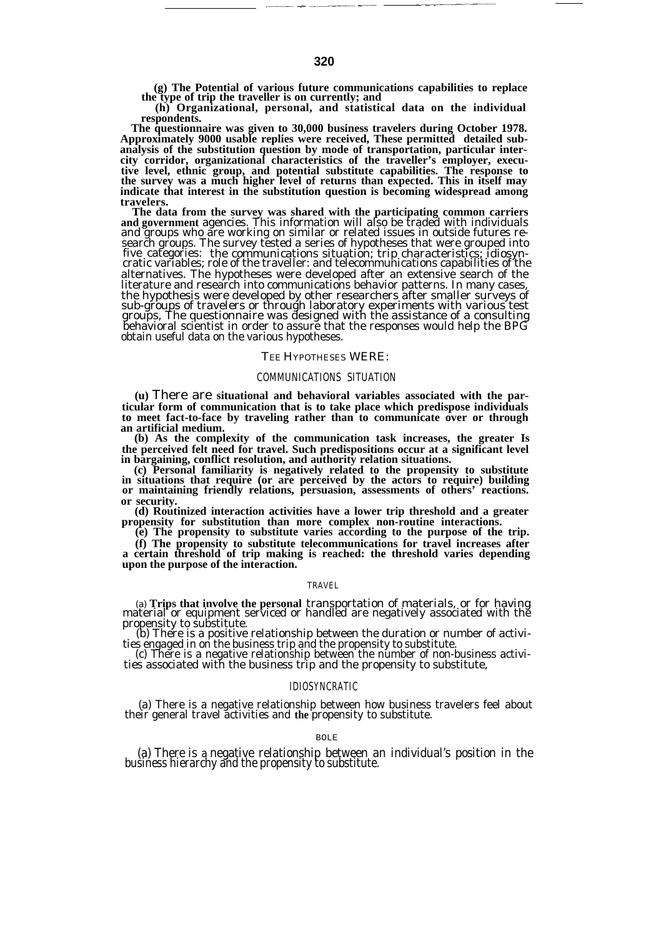**(g) The Potential of various future communications capabilities to replace the type of trip the traveller is on currently; and**

——— —. ——.—— — ———.—

**(h) Organizational, personal, and statistical data on the individual respondents.**

**The questionnaire was given to 30,000 business travelers during October 1978. Approximately 9000 usable replies were received, These permitted detailed subanalysis of the substitution question by mode of transportation, particular intercity corridor, organizational characteristics of the traveller's employer, execu**tive level, ethnic group, and potential substitute capabilities. The response to<br>the survey was a much higher level of returns than expected. This in itself may<br>indicate that interest in the substitution question is becomi **travelers.**

**The data from the survey was shared with the participating common carriers and government** agencies. This information will also be traded with individuals and groups who are working on similar or related issues in outside futures research groups. The survey tested a series of hypotheses that were grouped into five categories: the communications situation; trip characteristics; idiosyncratic variables; role of the traveller: and telecommunications capabilities of the alternatives. The hypotheses were developed after an extensive search of the literature and research into communications behavior patterns. In many cases, the hypothesis were developed by other researchers after smaller surveys of<br>sub-groups of travelers or through laboratory experiments with various test<br>groups, The questionnaire was designed with the assistance of a consul behavioral scientist in order to assure that the responses would help the BPG obtain useful data on the various hypotheses.

#### TEE HYPOTHESES WERE:

#### COMMUNICATIONS SITUATION

**(u)** There are **situational and behavioral variables associated with the particular form of communication that is to take place which predispose individuals to meet fact-to-face by traveling rather than to communicate over or through an artificial medium.**

**(b) As the complexity of the communication task increases, the greater Is the perceived felt need for travel. Such predispositions occur at a significant level in bargaining, conflict resolution, and authority relation situations.**

**(c) Personal familiarity is negatively related to the propensity to substitute in situations that require (or are perceived by the actors to require) building or maintaining friendly relations, persuasion, assessments of others' reactions. or security.**

**(d) Routinized interaction activities have a lower trip threshold and a greater propensity for substitution than more complex non-routine interactions.**

**(e) The propensity to substitute varies according to the purpose of the trip.**

**(f) The propensity to substitute telecommunications for travel increases after a certain threshold of trip making is reached: the threshold varies depending upon the purpose of the interaction.**

#### TRAVEL

(a) **Trips that involve the personal** transportation of materials, or for having material or equipment serviced or handled are negatively associated with the propensity to substitute.

(b) There is a positive relationship between the duration or number of activities engaged in on the business trip and the propensity to substitute. (c) There is a negative relationship between the number of non-business activi-

ties associated with the business trip and the propensity to substitute,

## IDIOSYNCRATIC

(a) There is a negative relationship between how business travelers feel about their general travel activities and **the** propensity to substitute.

#### BOLE

(a) There is a negative relationship between an individual's position in the business hierarchy and the propensity to substitute.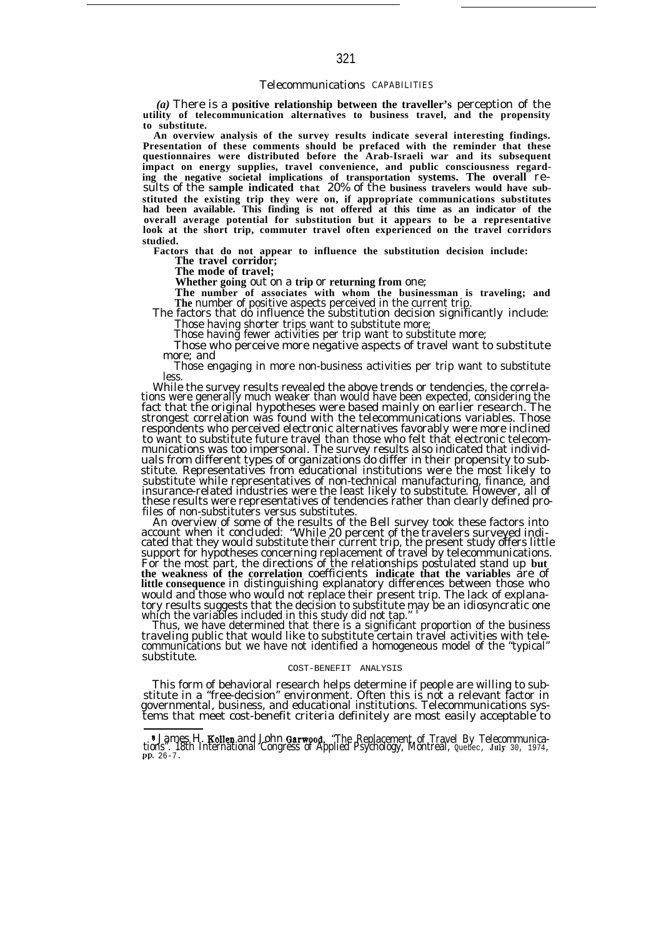### Telecommunications CAPABILITIES

*(a)* There is a **positive relationship between the traveller's** perception of the **utility of telecommunication alternatives to business travel, and the propensity to substitute.**

**An overview analysis of the survey results indicate several interesting findings. Presentation of these comments should be prefaced with the reminder that these questionnaires were distributed before the Arab-Israeli war and its subsequent impact on energy supplies, travel convenience, and public consciousness regarding the negative societal implications of transportation systems. The overall** results of the **sample indicated that** 20% of the **business travelers would have substituted the existing trip they were on, if appropriate communications substitutes had been available. This finding is not offered at this time as an indicator of the overall average potential for substitution but it appears to be a representative look at the short trip, commuter travel often experienced on the travel corridors studied.**

**Factors that do not appear to influence the substitution decision include:**

**The travel corridor;**

**The mode of travel;**

**Whether going** out on a **trip** or **returning from** one;

The number of associates with whom the businessman is traveling; and<br>The number of positive aspects perceived in the current trip.<br>The factors that do influence the substitution decision significantly include:

Those having shorter trips want to substitute more; Those having fewer activities per trip want to substitute more;

Those who perceive more negative aspects of travel want to substitute more; and

Those engaging in more non-business activities per trip want to substitute less.

While the survey results revealed the above trends or tendencies, the correla-tions were generally much weaker than would have been expected, considering the fact that the original hypotheses were based mainly on earlier research. The strongest correlation was found with the telecommunications variables. Those respondents who perceived electronic alternatives favorably were more inclined to want to substitute future travel than those who felt that electronic telecommunications was too impersonal. The survey results also indicated that individ-uals from different types of organizations do differ in their propensity to substitute. Representatives from educational institutions were the most likely to substitute while representatives of non-technical manufacturing, finance, and insurance-related industries were the least likely to substitute. However, all of these results were representatives of tendencies rather than clearly defined profiles of non-substituters versus substitutes.

An overview of some of the results of the Bell survey took these factors into account when it concluded: "While 20 percent of the travelers surveyed indi-cated that they would substitute their current trip, the present study offers little support for hypotheses concerning replacement of travel by telecommunications. For the most part, the directions of the relationships postulated stand up **but the weakness of the correlation** coefficients **indicate that the variables** are of **little consequence** in distinguishing explanatory differences between those who would and those who would not replace their present trip. The lack of explanatory results suggests that the decision to substitute may be an idiosyncratic one which the variables included in this study did not tap." <sup>8</sup>

Thus, we have determined that there is a significant proportion of the business traveling public that would like to substitute certain travel activities with telecommunications but we have not identified a homogeneous model of the "typical" substitute.

### COST-BENEFIT ANALYSIS

This form of behavioral research helps determine if people are willing to substitute in a "free-decision" environment. Often this is not a relevant factor in governmental, business, and educational institutions. Telecommunications systems that meet cost-benefit criteria definitely are most easily acceptable to

**<sup>5</sup> James H. Kollen and John Garwood, "The Replacement of Travel By Telecommunica-**<br>tions". 18th International Congress of Applied Psychology, Montreal, Quebec, July 30, 1974,<br>pp. 26-7.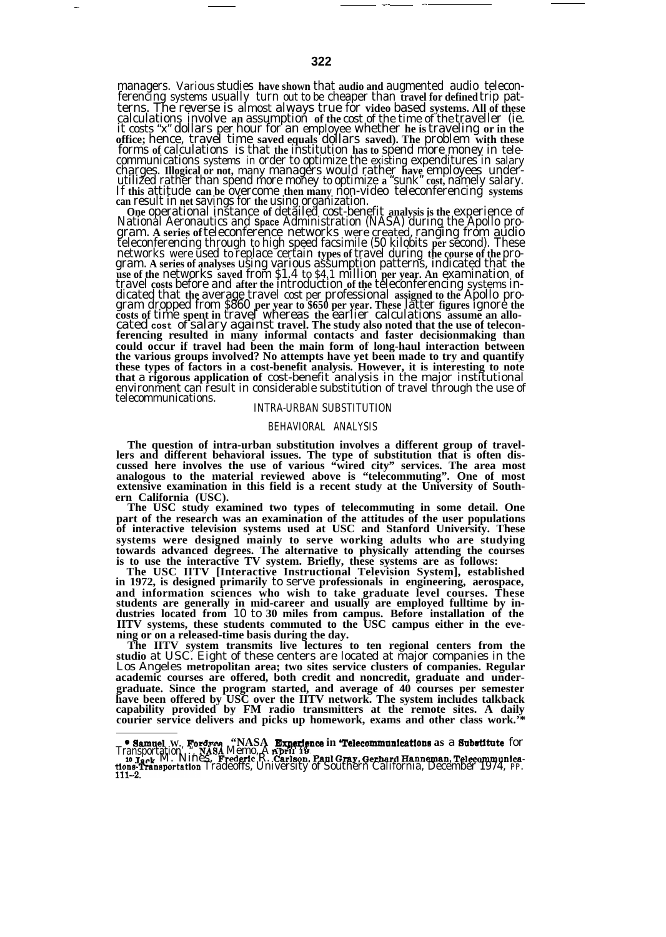managers. Various studies **have shown** that **audio and** augmented audio teleconferencing systems usually turn out to be cheaper than **travel for defined** trip patterns. The reverse is almost always true for video based systems. All of these<br>calculations involve an assumption of the cost of the time of the traveller (ie.<br>it costs "x" dollars per hour for an employee whether he is tr **office;** hence, travel time **saved equals** dollars **saved). The** problem **with these** forms **of** calculations is that **the** institution **has to** spend more money in tele-

communications systems in order to optimize the existing expenditures in salary<br>charges. Illogical or not, many managers would rather have employees under-<br>utilized rather than spend more money to optimize a "sunk" oset, n **could occur if travel had been the main form of long-haul interaction between the various groups involved? No attempts have yet been made to try and quantify these types of factors in a cost-benefit analysis. However, it is interesting to note that** a **rigorous application of** cost-benefit analysis in the major institutional environment can result in considerable substitution of travel through the use of telecommunications.

### INTRA-URBAN SUBSTITUTION

### BEHAVIORAL ANALYSIS

**The question of intra-urban substitution involves a different group of travellers and different behavioral issues. The type of substitution that is often discussed here involves the use of various "wired city" services. The area most analogous to the material reviewed above is "telecommuting". One of most extensive examination in this field is a recent study at the University of Southern California (USC).**

**The USC study examined two types of telecommuting in some detail. One part of the research was an examination of the attitudes of the user populations of interactive television systems used at USC and Stanford University. These systems were designed mainly to serve working adults who are studying towards advanced degrees. The alternative to physically attending the courses is to use the interactive TV system. Briefly, these systems are as follows:**

**The USC IITV [Interactive Instructional Television System], established in 1972, is designed primarily** to serve **professionals in engineering, aerospace, and information sciences who wish to take graduate level courses. These students are generally in mid-career and usually are employed fulltime by industries located from** 10 to **30 miles from campus. Before installation of the IITV systems, these students commuted to the USC campus either in the evening or on a released-time basis during the day.**

**The IITV system transmits live lectures to ten regional centers from the studio** at USC. Eight of these centers are located at major companies in the Los Angeles **metropolitan area; two sites service clusters of companies. Regular academic courses are offered, both credit and noncredit, graduate and undergraduate. Since the program started, and average of 40 courses per semester have been offered by USC over the IITV network. The system includes talkback capability provided by FM radio transmitters at the remote sites. A daily courier service delivers and picks up homework, exams and other class work.'\***

— —. .

**Samuel W. Fordres, "NASA Experience in Telecommunications as a Substitute for Transportation." NASA Memo. A Reference in Telecommunications as a Substitute for Transportation. A Referred R. Certain and Telecommunical dist**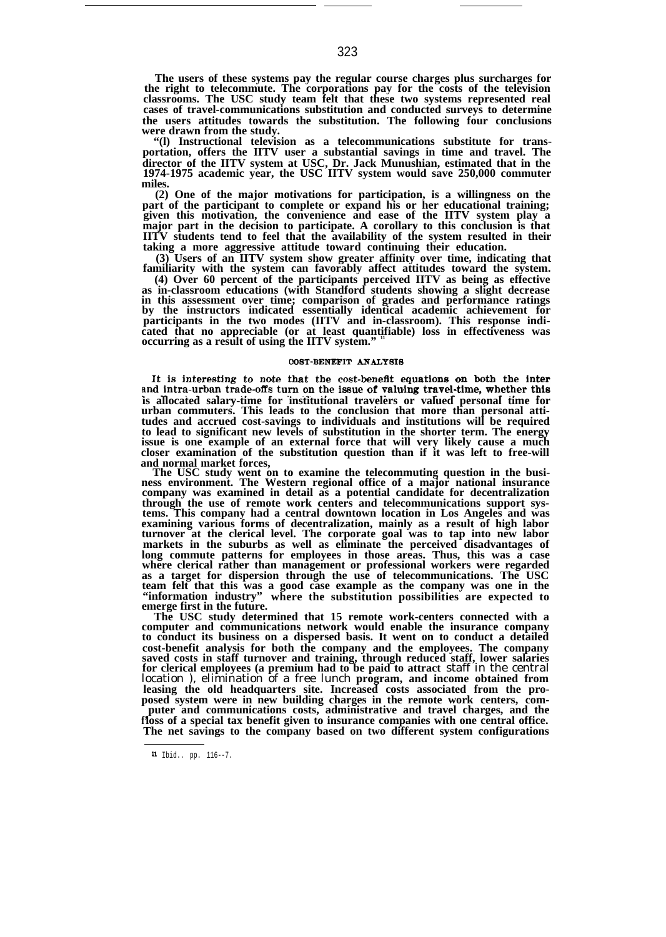**The users of these systems pay the regular course charges plus surcharges for the right to telecommute. The corporations pay for the costs of the television classrooms. The USC study team felt that these two systems represented real cases of travel-communications substitution and conducted surveys to determine the users attitudes towards the substitution. The following four conclusions were drawn from the study.**

**"(l) Instructional television as a telecommunications substitute for transportation, offers the IITV user a substantial savings in time and travel. The director of the IITV system at USC, Dr. Jack Munushian, estimated that in the 1974-1975 academic year, the USC IITV system would save 250,000 commuter miles.**

**(2) One of the major motivations for participation, is a willingness on the part of the participant to complete or expand his or her educational training; given this motivation, the convenience and ease of the IITV system play a major part in the decision to participate. A corollary to this conclusion is that IITV students tend to feel that the availability of the system resulted in their taking a more aggressive attitude toward continuing their education.**

**(3) Users of an IITV system show greater affinity over time, indicating that familiarity with the system can favorably affect attitudes toward the system.**

**(4) Over 60 percent of the participants perceived IITV as being as effective as in-classroom educations (with Standford students showing a slight decrease in this assessment over time; comparison of grades and performance ratings by the instructors indicated essentially identical academic achievement for participants in the two modes (IITV and in-classroom). This response indicated that no appreciable (or at least quantifiable) loss in effectiveness was occurring as a result of using the IITV system." <sup>11</sup>**

### COST-BENEFIT ANALYSIS

It is interesting to note that the cost-benefit equations on both the inter and intra-urban trade-offs turn on the issue of valuing travel-time, whether this **is allocated salary-time for institutional travelers or valued personal time for urban commuters. This leads to the conclusion that more than personal attitudes and accrued cost-savings to individuals and institutions will be required to lead to significant new levels of substitution in the shorter term. The energy issue is one example of an external force that will very likely cause a much closer examination of the substitution question than if it was left to free-will and normal market forces,**

The USC study went on to examine the telecommuting question in the business environment. The Western regional office of a major national insurance company was examined in detail as a potential candidate for decentralizatio **through the use of remote work centers and telecommunications support systems. This company had a central downtown location in Los Angeles and was examining various forms of decentralization, mainly as a result of high labor turnover at the clerical level. The corporate goal was to tap into new labor markets in the suburbs as well as eliminate the perceived disadvantages of long commute patterns for employees in those areas. Thus, this was a case where clerical rather than management or professional workers were regarded as a target for dispersion through the use of telecommunications. The USC team felt that this was a good case example as the company was one in the "information industry" where the substitution possibilities are expected to emerge first in the future.**

**The USC study determined that 15 remote work-centers connected with a computer and communications network would enable the insurance company to conduct its business on a dispersed basis. It went on to conduct a detailed cost-benefit analysis for both the company and the employees. The company saved costs in staff turnover and training, through reduced staff, lower salaries for clerical employees (a premium had to be paid to attract** staff in the central location ), elimination of a free lunch **program, and income obtained from leasing the old headquarters site. Increased costs associated from the proposed system were in new building charges in the remote work centers, comf' loss of a special tax benefit given to insurance companies with one central office. puter and communications costs, administrative and travel charges, and the The net savings to the company based on two different system configurations**

**<sup>11</sup>** Ibid.. pp. 116--7.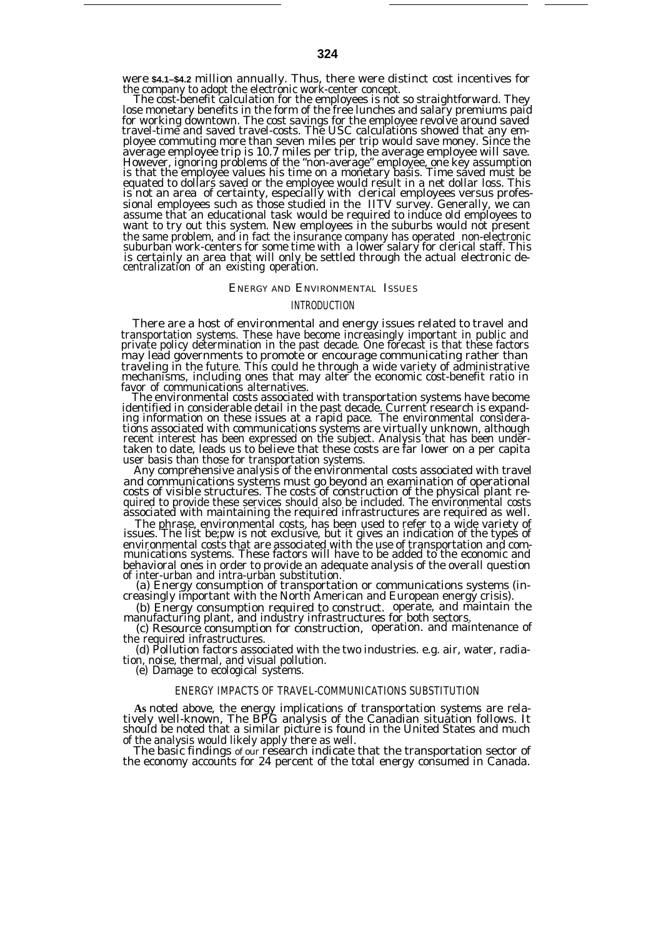were **\$4.1–\$4.2** million annually. Thus, there were distinct cost incentives for the company to adopt the electronic work-center concept.

The cost-benefit calculation for the employees is not so straightforward. They lose monetary benefits in the form of the free lunches and salary premiums paid for working downtown. The cost savings for the employee revolve around saved travel-time and saved travel-costs. The USC calculations showed that any employee commuting more than seven miles per trip would save money. Since the average employee trip is 10.7 miles per trip, the average employee will save. However, ignoring problems of the "non-average" employee, one key assumption is that the employee values his time on a monetary basis. Time saved must be equated to dollars saved or the employee would result in a net dollar loss. This is not an area of certainty, especially with clerical employees versus professional employees such as those studied in the IITV survey. Generally, we can assume that an educational task would be required to induce old employees to want to try out this system. New employees in the suburbs would not present the same problem, and in fact the insurance company has operated non-electronic suburban work-centers for some time with a lower salary for clerical staff. This is certainly an area that will only be settled through the actual electronic decentralization of an existing operation.

## ENERGY AND ENVIRONMENTAL ISSUES

## INTRODUCTION

There are a host of environmental and energy issues related to travel and transportation systems. These have become increasingly important in public and private policy determination in the past decade. One forecast is that these factors may lead governments to promote or encourage communicating rather than traveling in the future. This could he through a wide variety of administrative mechanisms, including ones that may alter the economic cost-benefit ratio in

favor of communications alternatives. The environmental costs associated with transportation systems have become identified in considerable detail in the past decade. Current research is expand-ing information on these issues at a rapid pace. The environmental considerations associated with communications systems are virtually unknown, although recent interest has been expressed on the subject. Analysis that has been undertaken to date, leads us to believe that these costs are far lower on a per capita user basis than those for transportation systems.

Any comprehensive analysis of the environmental costs associated with travel and communications systems must go beyond an examination of operational costs of visible structures. The costs of construction of the physical plant re-quired to provide these services should also be included. The environmental costs associated with maintaining the required infrastructures are required as well.

The phrase, environmental costs, has been used to refer to a wide variety of issues. The list be;pw is not exclusive, but it gives an indication of the types of environmental costs that are associated with the use of transportation and com-munications systems. These factors will have to be added to the economic and behavioral ones in order to provide an adequate analysis of the overall question

of inter-urban and intra-urban substitution. (a) Energy consumption of transportation or communications systems (increasingly important with the North American and European energy crisis).

(b) Energy consumption required to construct. operate, and maintain the manufacturing plant, and industry infrastructures for both sectors.

(c) Resource consumption for construction, operation. and maintenance of the required infrastructures.

(d) Pollution factors associated with the two industries. e.g. air, water, radia-tion, noise, thermal, and visual pollution.

(e) Damage to ecological systems.

# ENERGY IMPACTS OF TRAVEL-COMMUNICATIONS SUBSTITUTION

As noted above, the energy implications of transportation systems are rela-<br>tively well-known, The BPG analysis of the Canadian situation follows. It<br>should be noted that a similar picture is found in the United States and of the analysis would likely apply there as well.

The basic findings of our research indicate that the transportation sector of the economy accounts for 24 percent of the total energy consumed in Canada.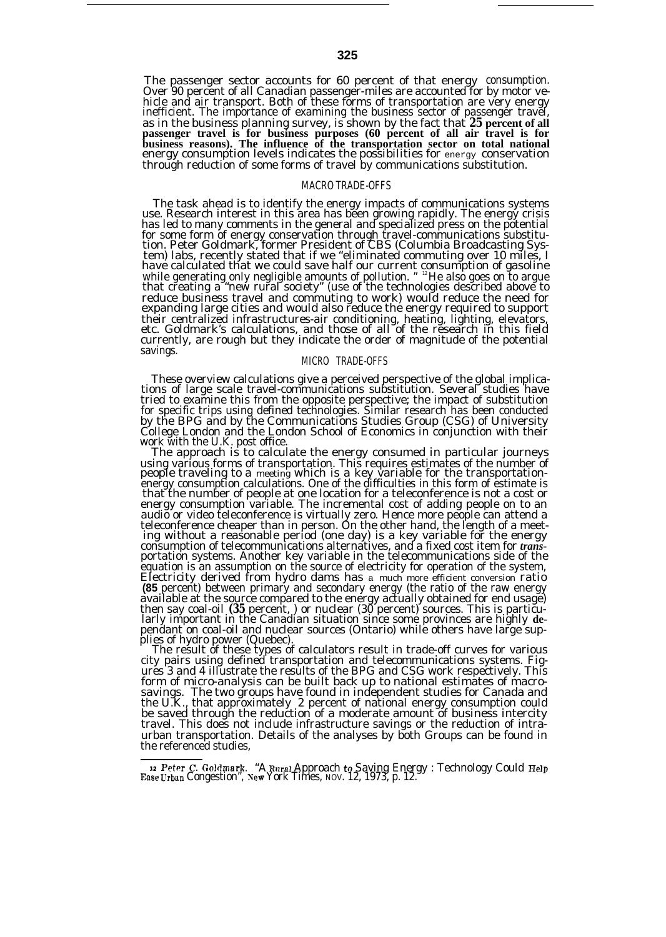The passenger sector accounts for 60 percent of that energy consumption. Over 90 percent of all Canadian passenger-miles are accounted for by motor ve-hicle and air transport. Both of these forms of transportation are very energy inefficient. The importance of examining the business sector of passenger travel,<br>as in the business planning survey, is shown by the fact that 25 percent of all<br>passenger travel is for business purposes (60 percent of all **business reasons). The influence of the transportation sector on total national** energy consumption levels indicates the possibilities for energy conservation through reduction of some forms of travel by communications substitution.

## MACRO TRADE-OFFS

The task ahead is to identify the energy impacts of communications systems use. Research interest in this area has been growing rapidly. The energy crisis has led to many comments in the general and specialized press on the potential for some form of energy conservation through travel-communications substitution. Peter Goldmark, former President of CBS (Columbia Broadcasting System) labs, recently stated that if we "eliminated commuting over 10 miles, I have calculated that we could save half our current consumption of gasoline while generating only negligible amounts of pollution. " <sup>12</sup>He also goes on to argue that creating a "new rural society" (use of the technologies described above to reduce business travel and commuting to work) would reduce the need for expanding large cities and would also reduce the energy required to support their centralized infrastructures-air conditioning, heating, lighting, elevators, etc. Goldmark's calculations, and those of all of the research in this field currently, are rough but they indicate the order of magnitude of the potential savings.

#### MICRO TRADE-OFFS

These overview calculations give a perceived perspective of the global implications of large scale travel-communications substitution. Several studies have tried to examine this from the opposite perspective; the impact of substitution for specific trips using defined technologies. Similar research has been conducted by the BPG and by the Communications Studies Group (CSG) of University College London and the London School of Economics in conjunction with their work with the U.K. post office.

The approach is to calculate the energy consumed in particular journeys using various forms of transportation. This requires estimates of the number of<br>people traveling to a meeting which is a key variable for the transportation-<br>energy consumption calculations. One of the difficulties in this that the number of people at one location for a teleconference is not a cost or energy consumption variable. The incremental cost of adding people on to an audio or video teleconference is virtually zero. Hence more people can attend a<br>teleconference cheaper than in person. On the other hand, the length of a meeting without a reasonable period (one day) is a key variable for the energy consumption of telecommunications alternatives, and a fixed cost item for *trans-*portation systems. Another key variable in the telecommunications side of the equation is an assumption on the source of electricity for operation of the system, Electricity derived from hydro dams has a much more efficient conversion ratio **(85** percent) between primary and secondary energy (the ratio of the raw energy available at the source compared to the energy actually obtained for end usage) then say coal-oil *(35* percent, ) or nuclear (30 percent) sources. This is particularly important in the Canadian situation since some provinces are highly **de**pendant on coal-oil and nuclear sources (Ontario) while others have large supplies of hydro power (Quebec).

The result of these types of calculators result in trade-off curves for various city pairs using defined transportation and telecommunications systems. Figures 3 and 4 illustrate the results of the BPG and CSG work respectively. This form of micro-analysis can be built back up to national estimates of macrosavings. The two groups have found in independent studies for Canada and the U.K., that approximately 2 percent of national energy consumption could be saved through the reduction of a moderate amount of business intercity travel. This does not include infrastructure savings or the reduction of intraurban transportation. Details of the analyses by both Groups can be found in the referenced studies,

<sup>12</sup> Peter C. Goldmark. "A Rural Approach to Saving Energy : Technology Could Help<br>Ease Urban Congestion", New York Times, NOV. 12, 1973, p. 12.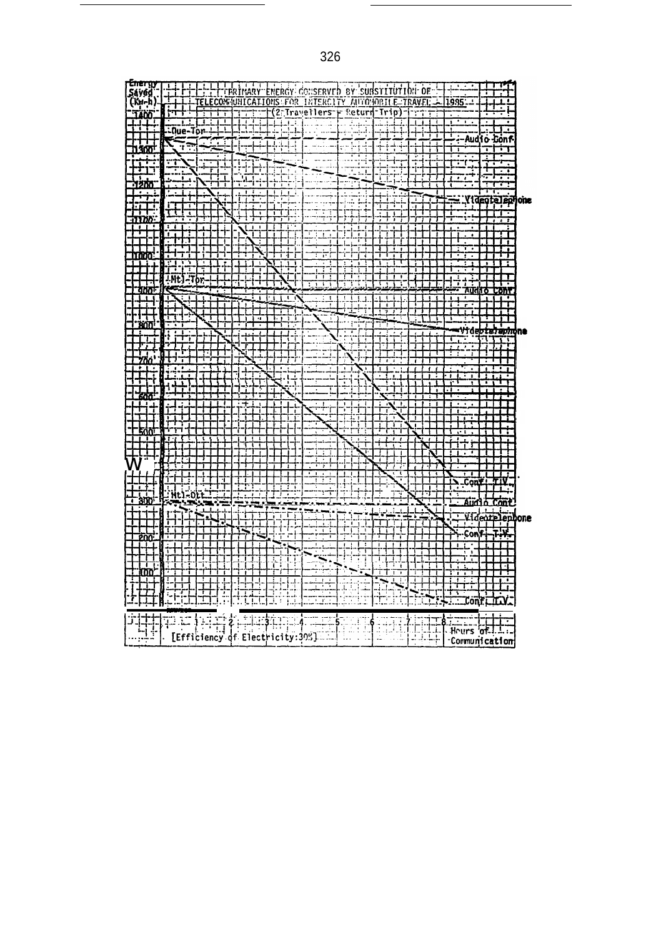VIII-LI-LI-LI-ERINARY ENERGY CONSERVED BY SUBSTITUTION OF THE CONSERVED BY SUBSTITUTION OF THE TRAVEL -<del>Energy</del> P Sayed<br>(Kw-h) Ë 1935 7  $\pm\pm$ 1400  $-0 \leq 1 \leq \frac{1}{2}$ 1999-99 再  $\mathbf{I}$ ΓT 7 - Audio Conf Ķ. <u>par</u> ₹ <u>la stal</u> <u>Tiliffi</u> ..... <u>고1</u> ∸ Ī 그리 ΤŦ ा ٣r ŦŦ  $\frac{1}{1}$  $\frac{11}{11}$ JĮ ÷÷ דוד **THE**  $\ldots$  $\frac{1}{2}$ بوابان <del>ं प</del>ा т. Yideoteiren one **The Second** 电非议 Ħ ÷. ╎╎╎┼╎╎┆┆╶┊┊╄┆╁┦╺<br>╎┼╎╌╎╎╎┆┆┆┆┆┆┥┥╉╀<br>╎╴╎╾┥╸╎┉╷╷║╣╏Ӫ┖の╿  $\begin{bmatrix} 1 & 1 \\ 1 & 1 \end{bmatrix}$ सिर ╟┽┿  $\overline{\phantom{a}}$ <u>i 1</u> 璑 Ħ  $\overline{\rm HH}$ ╤┿┿┷<u>╌┝┄┖┸</u>┵╊┨<br>┾┽╎┾┆╴╿┽╃┞╋╋<br>┼┼┆┥┝**╶╿┆╎╿╿╿**<br>╎╌╎┆╷┝╶┥╋╿┥╇┩ videbtelephone 手中 ų. والتلاف ┯┯ ᄑ I ਸਾ 7 . . . . . **\*\*\*\*** w\*\*\*\*\*\*\*\*\*\*\*\* ᅲ m<del>m</del> 掛 ╶┠┽╈┨┽╁┊┵<br>┤┽╈┥┵┠╃┯<br>╷<u>┥╅╁┋┪╌╌</u> **THE**  $\begin{picture}(180,10) \put(0,0){\line(1,0){15}} \put(0,0){\line(1,0){15}} \put(0,0){\line(1,0){15}} \put(0,0){\line(1,0){15}} \put(0,0){\line(1,0){15}} \put(0,0){\line(1,0){15}} \put(0,0){\line(1,0){15}} \put(0,0){\line(1,0){15}} \put(0,0){\line(1,0){15}} \put(0,0){\line(1,0){15}} \put(0,0){\line(1,0){15}} \put(0,0){\line(1,0){15}} \put(0$ -a Tir 田  $\pm\rightarrow$ ₩  $\begin{array}{c}\n\begin{array}{c}\n\downarrow \\
\downarrow \\
\downarrow \\
\end{array}\n\end{array}$ 景日  $\frac{1}{2}$ lt ÷ шт Augh Cont tin<br>Till  $\frac{1}{1}$   $\frac{1}{1}$   $\frac{1}{1}$   $\frac{1}{1}$   $\frac{1}{1}$   $\frac{1}{1}$   $\frac{1}{1}$   $\frac{1}{1}$   $\frac{1}{1}$   $\frac{1}{1}$   $\frac{1}{1}$   $\frac{1}{1}$   $\frac{1}{1}$   $\frac{1}{1}$   $\frac{1}{1}$   $\frac{1}{1}$   $\frac{1}{1}$   $\frac{1}{1}$   $\frac{1}{1}$   $\frac{1}{1}$   $\frac{1}{1}$   $\frac{1}{1}$  IJ j<del>i</del> ïΠ I. {={{{}}}\}<br>}-{{}}{{}}}}}\{\}<br>}-{{}}{{}}}}}\{\}<br>}-{{}}}}}}} 江 ⊏⊟ Ħ ╌┥╾╄┑╅╺┠╸┩╺┩<br>╶╿╾┊╺┇╌┇╾╿╾╃<br>╶╿╌┊╾┪╾┽╸║╺┇<br>╶╿╌┊╾┪╾┽╾║╺┇ 出手 ī ĦĦ ℸ. <u>iti</u> **THE HILL**  $\overline{\mathbf{H}}$ 32. á. FE U brith **Contribution** i pr 画体 ामकेम 賱 .....  $Hours$  of  $\overline{H}$ . ţ. [Efficiency of Electricity:305] Communication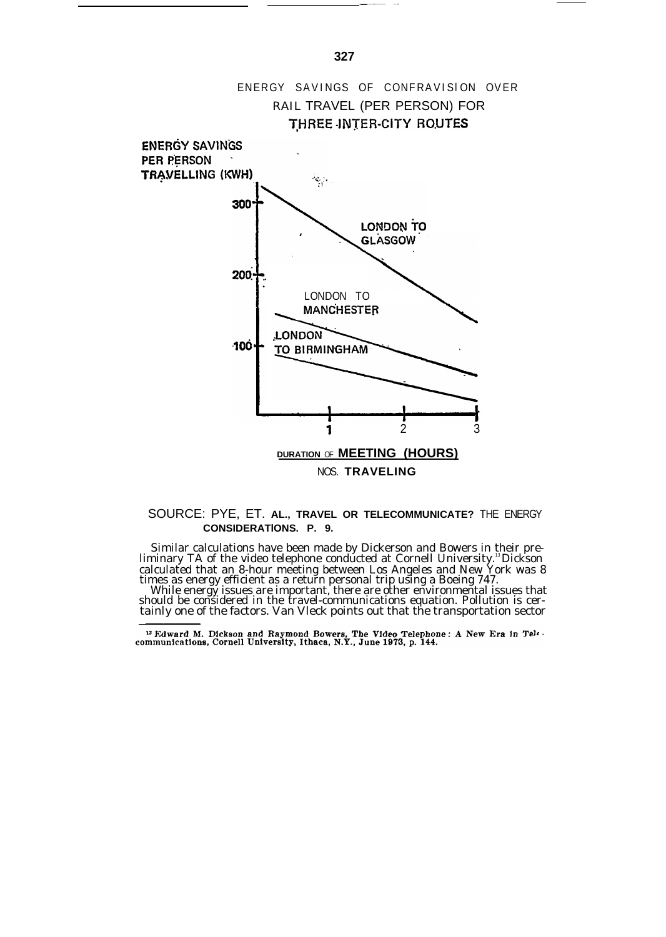

# SOURCE: PYE, ET. **AL., TRAVEL OR TELECOMMUNICATE?** THE ENERGY **CONSIDERATlONS. P. 9.**

Similar calculations have been made by Dickerson and Bowers in their pre-liminary TA of the video telephone conducted at Cornell University.<sup>13</sup>Dickson calculated that an 8-hour meeting between Los Angeles and New York was 8 times as energy efficient as a return personal trip using a Boeing 747.

While energy issues are important, there are other environmental issues that<br>should be considered in the travel-communications equation. Pollution is cer-<br>tainly one of the factors. Van Vleck points out that the transporta

—.— .-

<sup>&</sup>lt;sup>13</sup> Edward M. Dickson and Raymond Bowers, The Video Telephone: A New Era in Tele.<br>communications, Cornell University, Ithaca, N.Y., June 1973, p. 144.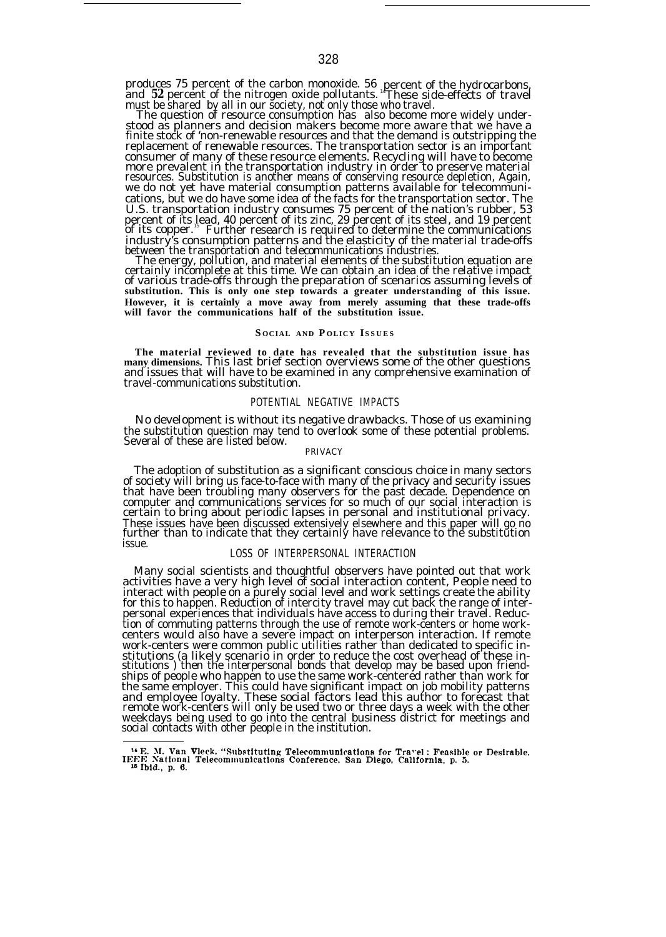produces 75 percent of the carbon monoxide. 56 percent of the hydrocarbons, and 52 percent of the nitrogen oxide pollutants. "These side-effects of travel must be shared by all in our society, not only those who travel.

The question of resource consumption has also become more widely understood as planners and decision makers become more aware that we have a<br>finite stock of 'non-renewable resources and that the demand is outstripping the replacement of renewable resources. The transportation sector is an important<br>consumer of many of these resource elements. Recycling will have to become<br>more prevalent in the transportation industry in order to preserve ma resources. Substitution is another means of conserving resource depletion, Again, we do not yet have material consumption patterns available for telecommunications, but we do have some idea of the facts for the transportation sector. The U.S. transportation industry consumes 75 percent of the nation's rubber, 53 percent of its lead, 40 percent of its zinc, 29 percent of its steel, and 19 percent<br>of its copper." Further research is required to determine the communications industry's consumption patterns and the elasticity of the material trade-offs

between the transportation and telecommunications industries. The energy, pollution, and material elements of the substitution equation are certainly incomplete at this time. We can obtain an idea of the relative impact of various trade-offs through the preparation of scenarios assuming levels of **substitution. This is only one step towards a greater understanding of this issue. However, it is certainly a move away from merely assuming that these trade-offs will favor the communications half of the substitution issue.**

#### **S OCIAL AND P OLICY ISSUE S**

**The material reviewed to date has revealed that the substitution issue has many dimensions.** This last brief section overviews some of the other questions and issues that will have to be examined in any comprehensive examination of travel-communications substitution.

# POTENTIAL NEGATIVE IMPACTS

No development is without its negative drawbacks. Those of us examining the substitution question may tend to overlook some of these potential problems. Several of these are listed below.

## PRIVACY

The adoption of substitution as a significant conscious choice in many sectors of society will bring us face-to-face with many of the privacy and security issues that have been troubling many observers for the past decade. Dependence on computer and communications services for so much of our social interaction is certain to bring about periodic lapses in personal and institutional privacy. These issues have been discussed extensively elsewhere and this paper will go no further than to indicate that they certainly have relevance to the substitution issue.

# LOSS OF INTERPERSONAL INTERACTION

Many social scientists and thoughtful observers have pointed out that work activities have a very high level of social interaction content, People need to interact with people on a purely social level and work settings create the ability for this to happen. Reduction of intercity travel may cut back the range of interpersonal experiences that individuals have access to during their travel. Reduction of commuting patterns through the use of remote work-centers or home work-centers would also have a severe impact on interperson interaction. If remote work-centers were common public utilities rather than dedicated to specific institutions (a likely scenario in order to reduce the cost overhead of these in-stitutions ) then the interpersonal bonds that develop may be based upon friendships of people who happen to use the same work-centered rather than work for the same employer. This could have significant impact on job mobility patterns<br>and employee loyalty. These social factors lead this author to forecast that<br>remote work-centers will only be used two or three days a week wit weekdays being used to go into the central business district for meetings and social contacts with other people in the institution.

<sup>&</sup>lt;sup>14</sup> E. M. Van Vleck, "Substituting Telecommunications for Travel: Feasible or Desirable,<br>IEEE National Telecommunications Conference, San Diego, California, p. 5.<br><sup>15</sup> Ibid., p. 6.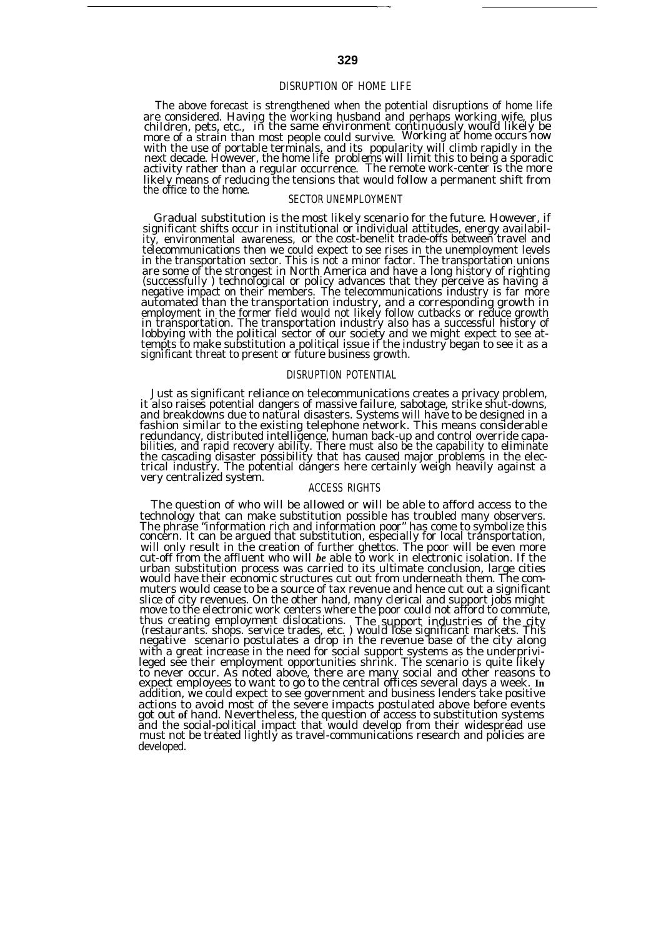# DISRUPTION OF HOME LIFE

The above forecast is strengthened when the potential disruptions of home life are considered. Having the working husband and perhaps working wife, plus children, pets, etc., in the same environment continuously would likely be more of a strain than most people could survive. Working at home occurs now with the use of portable terminals, and its popularity will climb rapidly in the<br>next decade. However, the home life problems will limit this to being a sporadic<br>activity rather than a regular occurrence. The remote wor likely means of reducing the tensions that would follow a permanent shift from the office to the home.

# SECTOR UNEMPLOYMENT

Gradual substitution is the most likely scenario for the future. However, if significant shifts occur in institutional or individual attitudes, energy availabil-ity, environmental awareness, or the cost-bene!it trade-offs between travel and telecommunications then we could expect to see rises in the unemployment levels in the transportation sector. This is not a minor factor. The transportation unions are some of the strongest in North America and have a long history of righting (successfully ) technological or policy advances that they perceive as having a negative impact on their members. The telecommunications industry is far more automated than the transportation industry, and a corresponding growth in<br>employment in the former field would not likely follow cutbacks or reduce growth<br>in transportation. The transportation industry also has a successfu tempts to make substitution a political issue if the industry began to see it as a significant threat to present or future business growth.

# DISRUPTION POTENTIAL

Just as significant reliance on telecommunications creates a privacy problem, it also raises potential dangers of massive failure, sabotage, strike shut-downs, and breakdowns due to natural disasters. Systems will have to be designed in a fashion similar to the existing telephone network. This means considerable redundancy, distributed intelligence, human back-up and control override capabilities, and rapid recovery ability. There must also be the capability to eliminate<br>the cascading disaster possibility that has caused major problems in the electrical industry. The potential dangers here certainly weigh

# ACCESS RIGHTS

The question of who will be allowed or will be able to afford access to the technology that can make substitution possible has troubled many observers. The phrase "information rich and information poor" has come to symbolize this concern. It can be argued that substitution, especially for local trănsportation, will only result in the creation of further ghettos. The poor will be even more cut-off from the affluent who will *be* able to work in electronic isolation. If the urban substitution process was carried to its ultimate conclusion, large cities would have their economic structures cut out from underneath them. The commuters would cease to be a source of tax revenue and hence cut out a significant slice of city revenues. On the other hand, many clerical and support jobs might move to the electronic work centers where the poor could not afford to commute, thus creating employment dislocations. The support industries of the city (restaurants. shops. service trades, etc. ) would lose significant markets. This negative scenario postulates a drop in the revenue base of the city with a great increase in the need for social support systems as the underprivi-leged see their employment opportunities shrink. The scenario is quite likely to never occur. As noted above, there are many social and other reasons to expect employees to want to go to the central offices several days a week. **In** addition, we could expect to see government and business lenders take positive actions to avoid most of the severe impacts postulated above before events got out **of** hand. Nevertheless, the question of access to substitution systems and the social-political impact that would develop from their widespread use must not be treated lightly as travel-communications research and policies are developed.

——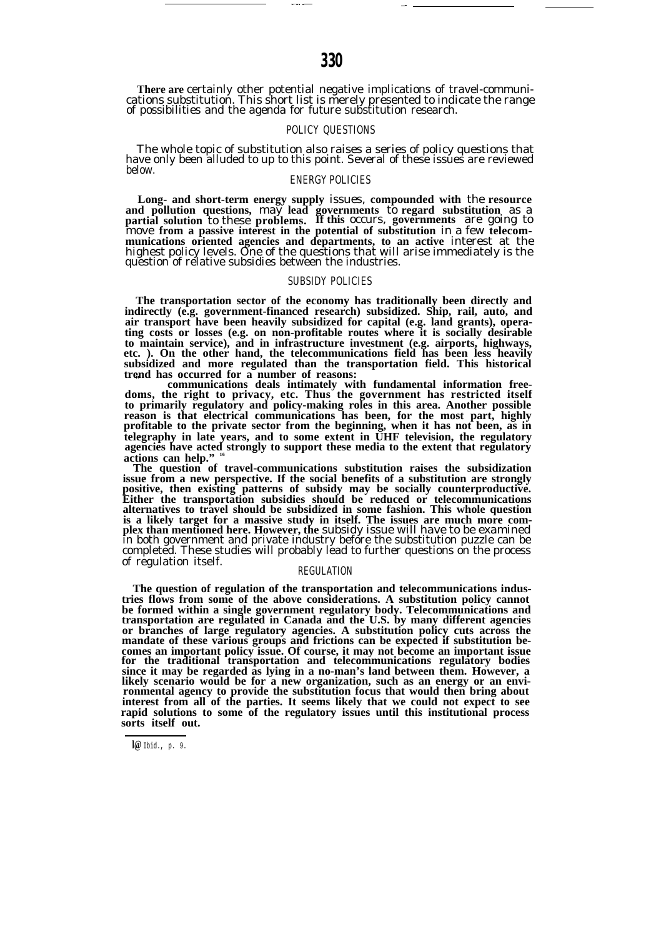# POLICY QUESTIONS

The whole topic of substitution also raises a series of policy questions that have only been alluded to up to this point. Several of these issues are reviewed below.

# ENERGY POLICIES

**Long- and short-term energy supply** issues, **compounded with** the **resource and pollution questions,** may **lead governments** to **regard substitution** as a **partial solution** to these **problems. If this** occurs, **governments** are going to move **from a passive interest in the potential of substitution** in a few **telecommunications oriented agencies and departments, to an active** interest at the highest policy levels. One of the questions that will arise immediately is the question of relative subsidies between the industries.

### SUBSIDY POLICIES

**The transportation sector of the economy has traditionally been directly and indirectly (e.g. government-financed research) subsidized. Ship, rail, auto, and air transport have been heavily subsidized for capital (e.g. land grants), operating costs or losses (e.g. on non-profitable routes where it is socially desirable to maintain service), and in infrastructure investment (e.g. airports, highways, etc. ). On the other hand, the telecommunications field has been less heavily subsidized and more regulated than the transportation field. This historical**

**trend has occurred for a number of reasons: " communications deals intimately with fundamental information free-doms, the right to privacy, etc. Thus the government has restricted itself to primarily regulatory and policy-making roles in this area. Another possible reason is that electrical communications has been, for the most part, highly profitable to the private sector from the beginning, when it has not been, as in telegraphy in late years, and to some extent in UHF television, the regulatory agencies have acted strongly to support these media to the extent that regulatory actions can help." <sup>16</sup>**

**The question of travel-communications substitution raises the subsidization issue from a new perspective. If the social benefits of a substitution are strongly** positive, then existing patterns of subsidy may be socially counterproductive.<br>Either the transportation subsidies should be reduced or telecommunications<br>alternatives to travel should be subsidized in some fashion. This w in both government and private industry before the substitution puzzle can be completed. These studies will probably lead to further questions on the process of regulation itself.

#### REGULATION

**The question of regulation of the transportation and telecommunications industries flows from some of the above considerations. A substitution policy cannot be formed within a single government regulatory body. Telecommunications and transportation are regulated in Canada and the U.S. by many different agencies or branches of large regulatory agencies. A substitution policy cuts across the mandate of these various groups and frictions can be expected if substitution becomes an important policy issue. Of course, it may not become an important issue for the traditional transportation and telecommunications regulatory bodies** since it may be regarded as lying in a no-man's land between them. However, a likely scenario would be for a new organization, such as an energy or an environmental agency to provide the substitution focus that would then **interest from all of the parties. It seems likely that we could not expect to see rapid solutions to some of the regulatory issues until this institutional process sorts itself out.**

ال التي تعدد المستقبل المستقبل المستقبل المستقبل المستقبل المستقبل المستقبل المستقبل المستقبل المستقبل المستقب<br>المستقبل المستقبل المستقبل المستقبل المستقبل المستقبل المستقبل المستقبل المستقبل المستقبل المستقبل المستقبل ال

**l@** Ibid., p. 9.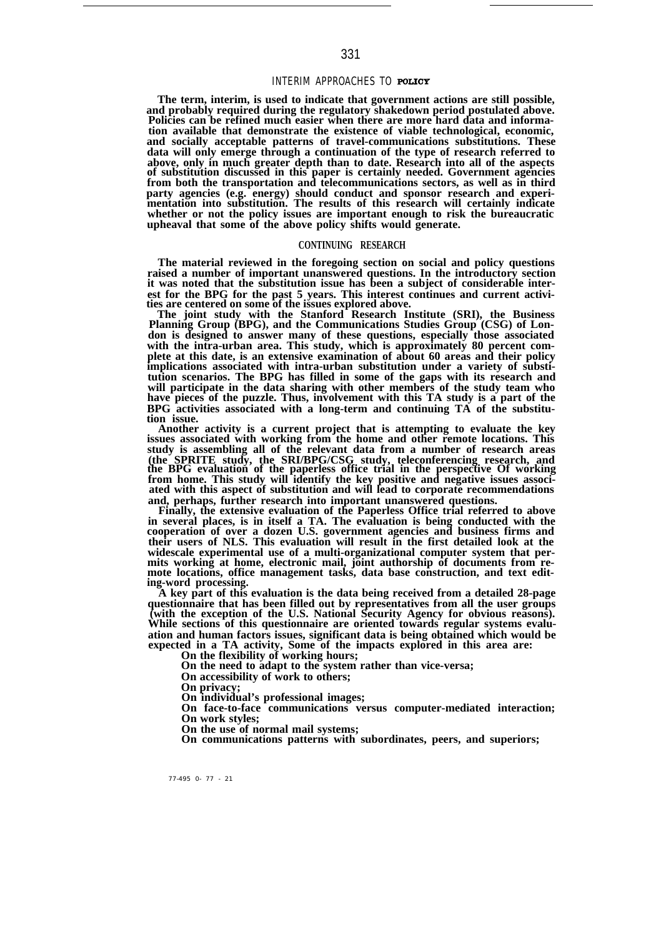# INTERIM APPROACHES TO

**The term, interim, is used to indicate that government actions are still possible, and probably required during the regulatory shakedown period postulated above.** Policies can be refined much easier when there are more hard data and informa**tion available that demonstrate the existence of viable technological, economic, and socially acceptable patterns of travel-communications substitutions. These data will only emerge through a continuation of the type of research referred to** above, only in much greater depth than to date. Research into all of the aspects<br>of substitution discussed in this paper is certainly needed. Government agencies<br>from both the transportation and telecommunications sectors, **party agencies (e.g. energy) should conduct and sponsor research and experi-mentation into substitution. The results of this research will certainly indicate whether or not the policy issues are important enough to risk the bureaucratic upheaval that some of the above policy shifts would generate.**

#### **CONTINUING RESEARCH**

**The material reviewed in the foregoing section on social and policy questions raised a number of important unanswered questions. In the introductory section it was noted that the substitution issue has been a subject of considerable interest for the BPG for the past 5 years. This interest continues and current activi-ties are centered on some of the issues explored above.**

**The joint study with the Stanford Research Institute (SRI), the Business Planning Group (BPG), and the Communications Studies Group (CSG) of London is designed to answer many of these questions, especially those associated with the intra-urban area. This study, which is approximately 80 percent complete at this date, is an extensive examination of about 60 areas and their policy implications associated with intra-urban substitution under a variety of substitution scenarios. The BPG has filled in some of the gaps with its research and will participate in the data sharing with other members of the study team who have pieces of the puzzle. Thus, involvement with this TA study is a part of the BPG activities associated with a long-term and continuing TA of the substitution issue.**

**Another activity is a current project that is attempting to evaluate the key issues associated with working from the home and other remote locations. This study is assembling all of the relevant data from a number of research areas** (the SPRITE study, the SRI/BPG/CSG study, teleconferencing research, and the BPG evaluation of the paperless office trial in the perspective Of working from home. This study will identify the key positive and negative issu **and, perhaps, further research into important unanswered questions.**

**Finally, the extensive evaluation of the Paperless Office trial referred to above in several places, is in itself a TA. The evaluation is being conducted with the cooperation of over a dozen U.S. government agencies and business firms and their users of NLS. This evaluation will result in the first detailed look at the widescale experimental use of a multi-organizational computer system that permits working at home, electronic mail, joint authorship of documents from re-mote locations, office management tasks, data base construction, and text editing-word processing.**

**A key part of this evaluation is the data being received from a detailed 28-page questionnaire that has been filled out by representatives from all the user groups (with the exception of the U.S. National Security Agency for obvious reasons). While sections of this questionnaire are oriented towards regular systems evaluation and human factors issues, significant data is being obtained which would be expected in a TA activity, Some of the impacts explored in this area are: On the flexibility of working hours;**

**On the need to adapt to the system rather than vice-versa;**

**On accessibility of work to others;**

**On privacy;**

**On individual's professional images;**

**On face-to-face communications versus computer-mediated interaction; On work styles;**

**On the use of normal mail systems;**

**On communications patterns with subordinates, peers, and superiors;**

77-495 0- 77 - 21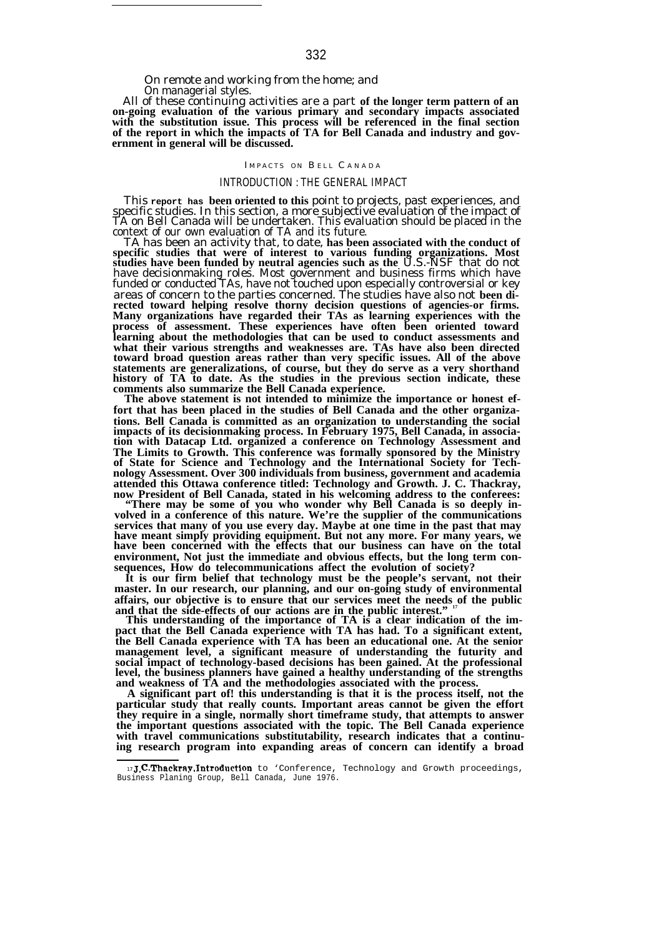## On remote and working from the home; and On managerial styles.

All of these continuing activities are a part **of the longer term pattern of an on-going evaluation of the various primary and secondary impacts associated with the substitution issue. This process will be referenced in the final section of the report in which the impacts of TA for Bell Canada and industry and government in general will be discussed.**

#### IMPACTS ON BELL CANADA

### INTRODUCTION : THE GENERAL IMPACT

This **report has been oriented to this** point to projects, past experiences, and specific studies. In this section, a more subjective evaluation of the impact of TA on Bell Canada will be undertaken. This evaluation should be placed in the context of our own evaluation of TA and its future.

TA has been an activity that, to date, **has been associated with the conduct of** specific studies that were of interest to various funding organizations. Most<br>studies have been funded by neutral agencies such as the U.S.-NSF that do not have decisionmaking roles. Most government and business firms which have funded or conducted TAs, have not touched upon especially controversial or key areas of concern to the parties concerned. The studies have also not **been directed toward helping resolve thorny decision questions of agencies-or firms. Many organizations have regarded their TAs as learning experiences with the process of assessment. These experiences have often been oriented toward learning about the methodologies that can be used to conduct assessments and what their various strengths and weaknesses are. TAs have also been directed toward broad question areas rather than very specific issues. All of the above statements are generalizations, of course, but they do serve as a very shorthand history of TA to date. As the studies in the previous section indicate, these comments also summarize the Bell Canada experience.**

**The above statement is not intended to minimize the importance or honest effort that has been placed in the studies of Bell Canada and the other organizations. Bell Canada is committed as an organization to understanding the social impacts of its decisionmaking process. In February 1975, Bell Canada, in associa-tion with Datacap Ltd. organized a conference on Technology Assessment and The Limits to Growth. This conference was formally sponsored by the Ministry of State for Science and Technology and the International Society for Technology Assessment. Over 300 individuals from business, government and academia attended this Ottawa conference titled: Technology and Growth. J. C. Thackray,**

**now President of Bell Canada, stated in his welcoming address to the conferees: "There may be some of you who wonder why Bell Canada is so deeply involved in a conference of this nature. We're the supplier of the communications services that many of you use every day. Maybe at one time in the past that may have meant simply providing equipment. But not any more. For many years, we have been concerned with the effects that our business can have on the total environment, Not just the immediate and obvious effects, but the long term consequences, How do telecommunications affect the evolution of society?**

**It is our firm belief that technology must be the people's servant, not their master. In our research, our planning, and our on-going study of environmental affairs, our objective is to ensure that our services meet the needs of the public and that the side-effects of our actions are in the public interest." <sup>17</sup>**

**This understanding of the importance of TA is a clear indication of the impact that the Bell Canada experience with TA has had. To a significant extent, the Bell Canada experience with TA has been an educational one. At the senior management level, a significant measure of understanding the futurity and social impact of technology-based decisions has been gained. At the professional level, the business planners have gained a healthy understanding of the strengths and weakness of TA and the methodologies associated with the process.**

**A significant part of! this understanding is that it is the process itself, not the particular study that really counts. Important areas cannot be given the effort they require in a single, normally short timeframe study, that attempts to answer the important questions associated with the topic. The Bell Canada experience with travel communications substitutability, research indicates that a continuing research program into expanding areas of concern can identify a broad**

 $17$ **J.C.Thackray, Introduction** to 'Conference, Technology and Growth proceedings, Business Planing Group, Bell Canada, June 1976.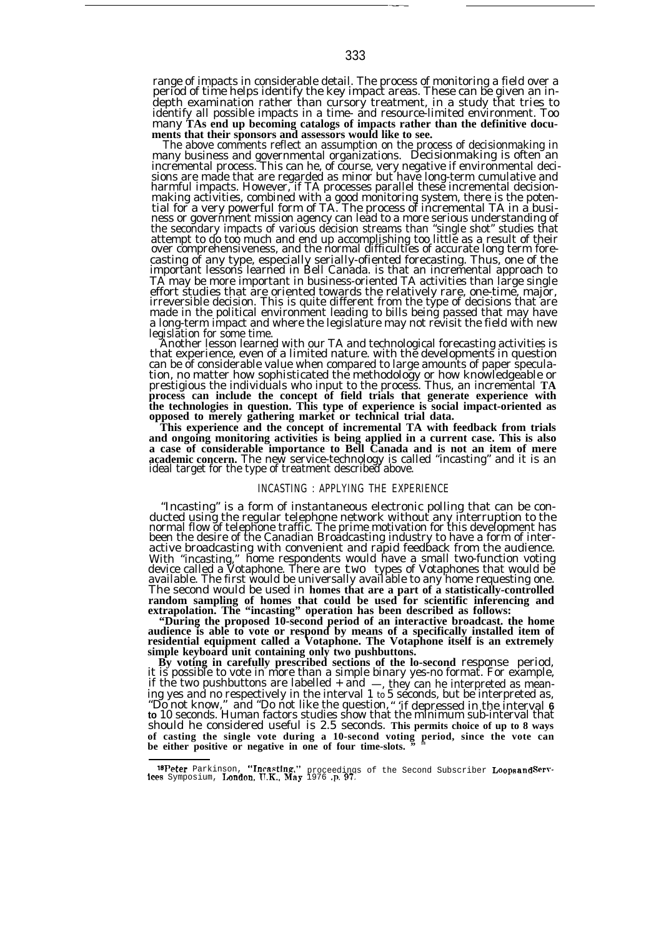range of impacts in considerable detail. The process of monitoring a field over a period of time helps identify the key impact areas. These can be given an indepth examination rather than cursory treatment, in a study that tries to identify all possible impacts in a time- and resource-limited environment. Too many **TAs end up becoming catalogs of impacts rather than the definitive documents that their sponsors and assessors would like to see.**

The above comments reflect an assumption on the process of decisionmaking in many business and governmental organizations. Decisionmaking is often an incremental process. This can he, of course, very negative if environmental decisions are made that are regarded as minor but have long-term cumulative and harmful impacts. However, if TA processes parallel these incremental decisionmaking activities, combined with a good monitoring system, there is the potential for a very powerful form of TA. The process of incremental TA in a busi-ness or government mission agency can lead to a more serious understanding of the secondary impacts of various decision streams than "single shot" studies that attempt to do too much and end up accomplishing too little as a result of their over comprehensiveness, and the normal difficulties of accurate long term forecasting of any type, especially serially-ofiented forecasting. Thus, one of the important lessons learned in Bell Canada. is that an incremental approach to TA may be more important in business-oriented TA activities than large single effort studies that are oriented towards the relatively rare, one-time, major, irreversible decision. This is quite different from the type of decisions that are made in the political environment leading to bills being passed that may have a long-term impact and where the legislature may not revisit the field with new legislation for some time.

Another lesson learned with our TA and technological forecasting activities is that experience, even of a limited nature. with the developments in question can be of considerable value when compared to large amounts of paper speculation, no matter how sophisticated the methodology or how knowledgeable or prestigious the individuals who input to the process. Thus, an incremental **TA process can include the concept of field trials that generate experience with the technologies in question. This type of experience is social impact-oriented as opposed to merely gathering market or technical trial data.**

**This experience and the concept of incremental TA with feedback from trials and ongoing monitoring activities is being applied in a current case. This is also** a case of considerable importance to Bell Canada and is not an item of mere<br>academic concern. The new service-technology is called "incasting" and it is an<br>ideal target for the type of treatment described above.

#### INCASTING : APPLYING THE EXPERIENCE

"Incasting" is a form of instantaneous electronic polling that can be conducted using the regular telephone network without any interruption to the normal flow of telephone traffic. The prime motivation for this development has been the desire of the Canadian Broadcasting industry to have a form of interactive broadcasting with convenient and rapid feedback from the audience. With "incasting," home respondents would have a small two-function voting device called a Votaphone. There are two types of Votaphones that would be available. The first would be universally avaiIable to any home requesting one. The second would be used in **homes that are a part of a statistically-controlled random sampling of homes that could be used for scientific inferencing and extrapolation. The "incasting" operation has been described as follows:**

"During the proposed 10-second period of an interactive broadcast. the home<br>audience is able to vote or respond by means of a specifically installed item of<br>residential equipment called a Votaphone. The Votaphone itself is **simple keyboard unit containing only two pushbuttons. By voting in carefully prescribed sections of the lo-second** response period,

it is possible to vote in more than a simple binary yes-no format. For example, if the two pushbuttons are labelled  $+$  and  $-$ , they can he interpreted as meaning yes and no respectively in the interval 1 to 5 seconds, but be interpreted as, "Do not know," and "Do not like the question, " if depress should he considered useful is 2.5 seconds. **This permits choice of up to 8 ways of casting the single vote during a 10-second voting period, since the vote can** be either positive or negative in one of four time-slots.

——

<sup>~</sup>s **Peter** Parkinson, "Inc~sting," proceedings of the Second Subscriber Loops **and &rv-lces** Symposium, Imndon, T1.K., Mny 1976 .p. 97,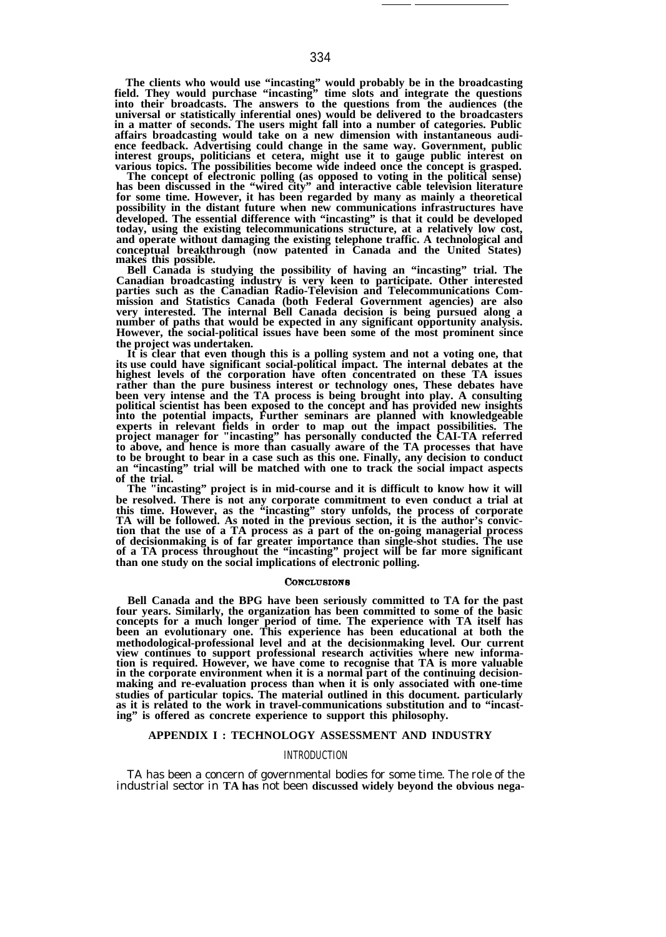**The clients who would use "incasting" would probably be in the broadcasting field. They would purchase "incasting" time slots and integrate the questions into their broadcasts. The answers to the questions from the audiences (the universal or statistically inferential ones) would be delivered to the broadcasters in a matter of seconds. The users might fall into a number of categories. Public affairs broadcasting would take on a new dimension with instantaneous audience feedback. Advertising could change in the same way. Government, public interest groups, politicians et cetera, might use it to gauge public interest on various topics. The possibilities become wide indeed once the concept is grasped.**

**The concept of electronic polling (as opposed to voting in the political sense) has been discussed in the "wired city" and interactive cable television literature for some time. However, it has been regarded by many as mainly a theoretical possibility in the distant future when new communications infrastructures have developed. The essential difference with "incasting" is that it could be developed today, using the existing telecommunications structure, at a relatively low cost, and operate without damaging the existing telephone traffic. A technological and conceptual breakthrough (now patented in Canada and the United States) makes this possible.**

**Bell Canada is studying the possibility of having an "incasting" trial. The Canadian broadcasting industry is very keen to participate. Other interested parties such as the Canadian Radio-Television and Telecommunications Commission and Statistics Canada (both Federal Government agencies) are also very interested. The internal Bell Canada decision is being pursued along a number of paths that would be expected in any significant opportunity analysis. However, the social-political issues have been some of the most prominent since the project was undertaken.**

**It is clear that even though this is a polling system and not a voting one, that its use could have significant social-political impact. The internal debates at the highest levels of the corporation have often concentrated on these TA issues rather than the pure business interest or technology ones, These debates have** been very intense and the TA process is being brought into play. A consulting<br>political scientist has been exposed to the concept and has provided new insights<br>into the potential impacts, Further seminars are planned with **experts in relevant fields in order to map out the impact possibilities. The project manager for "incasting" has personally conducted the CAI-TA referred to above, and hence is more than casually aware of the TA processes that have to be brought to bear in a case such as this one. Finally, any decision to conduct an "incasting" trial will be matched with one to track the social impact aspects of the trial.**

**The "incasting" project is in mid-course and it is difficult to know how it will be resolved. There is not any corporate commitment to even conduct a trial at this time. However, as the "incasting" story unfolds, the process of corporate TA will be followed. As noted in the previous section, it is the author's conviction that the use of a TA process as a part of the on-going managerial process of decisionmaking is of far greater importance than single-shot studies. The use of a TA process throughout the "incasting" project will be far more significant than one study on the social implications of electronic polling.**

#### CONCLUSIONS

**Bell Canada and the BPG have been seriously committed to TA for the past four years. Similarly, the organization has been committed to some of the basic concepts for a much longer period of time. The experience with TA itself has been an evolutionary one. This experience has been educational at both the methodological-professional level and at the decisionmaking level. Our current view continues to support professional research activities where new information is required. However, we have come to recognise that TA is more valuable in the corporate environment when it is a normal part of the continuing decisionmaking and re-evaluation process than when it is only associated with one-time studies of particular topics. The material outlined in this document. particularly as it is related to the work in travel-communications substitution and to "incasting" is offered as concrete experience to support this philosophy.**

#### **APPENDIX I : TECHNOLOGY ASSESSMENT AND INDUSTRY**

### INTRODUCTION

TA has been a concern of governmental bodies for some time. The role of the industrial sector in **TA has** not been **discussed widely beyond the obvious nega-**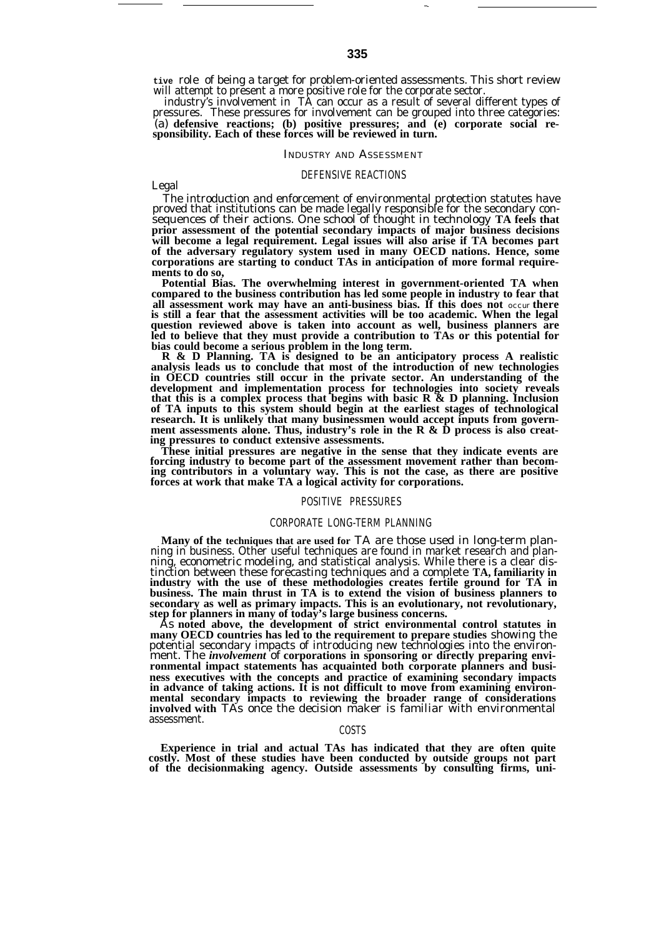**tive** role of being a target for problem-oriented assessments. This short review will attempt to present a more positive role for the corporate sector.

industry's involvement in TA can occur as a result of several different types of pressures. These pressures for involvement can be grouped into three categories: (a) **defensive reactions; (b) positive pressures; and (e) corporate social re-sponsibility. Each of these forces will be reviewed in turn.**

#### INDUSTRY AND ASSESSMENT

### DEFENSIVE REACTIONS

Legal

The introduction and enforcement of environmental protection statutes have proved that institutions can be made legally responsible for the secondary consequences of their actions. One school of thought in technology **TA feels that prior assessment of the potential secondary impacts of major business decisions will become a legal requirement. Legal issues will also arise if TA becomes part of the adversary regulatory system used in many OECD nations. Hence, some corporations are starting to conduct TAs in anticipation of more formal requirements to do so,**

**Potential Bias. The overwhelming interest in government-oriented TA when compared to the business contribution has led some people in industry to fear that all assessment work may have an anti-business bias. If this does not** *occur* **there is still a fear that the assessment activities will be too academic. When the legal question reviewed above is taken into account as well, business planners are led to believe that they must provide a contribution to TAs or this potential for bias could become a serious problem in the long term.**

**R & D Planning. TA is designed to be an anticipatory process A realistic analysis leads us to conclude that most of the introduction of new technologies in OECD countries still occur in the private sector. An understanding of the development and implementation process for technologies into society reveals that this is a complex process that begins with basic R & D planning. Inclusion of TA inputs to this system should begin at the earliest stages of technological research. It is unlikely that many businessmen would accept inputs from govern**ment assessments alone. Thus, industry's role in the R & D process is also creat**ing pressures to conduct extensive assessments.**

**These initial pressures are negative in the sense that they indicate events are forcing industry to become part of the assessment movement rather than becom-ing contributors in a voluntary way. This is not the case, as there are positive forces at work that make TA a logical activity for corporations.**

#### POSITIVE PRESSURES

### CORPORATE LONG-TERM PLANNING

**Many of the techniques that are used for** TA are those used in long-term planning in business. Other useful techniques are found in market research and planning, econometric modeling, and statistical analysis. While there is a clear distinction between these forecasting techniques and a complete **TA, familiarity in industry with the use of these methodologies creates fertile ground for TA in business. The main thrust in TA is to extend the vision of business planners to secondary as well as primary impacts. This is an evolutionary, not revolutionary, step for planners in many of today's large business concerns.**

As **noted above, the development of strict environmental control statutes in many OECD countries has led to the requirement to prepare studies** showing the potential secondary impacts of introducing new technologies into the environment. The *involvement* of **corporations in sponsoring or directly preparing environmental impact statements has acquainted both corporate planners and business executives with the concepts and practice of examining secondary impacts in advance of taking actions. It is not difficult to move from examining environmental secondary impacts to reviewing the broader range of considerations involved with** TAs once the decision maker is familiar with environmental assessment.

# COSTS

**Experience in trial and actual TAs has indicated that they are often quite costly. Most of these studies have been conducted by outside groups not part of the decisionmaking agency. Outside assessments by consulting firms, uni-**

—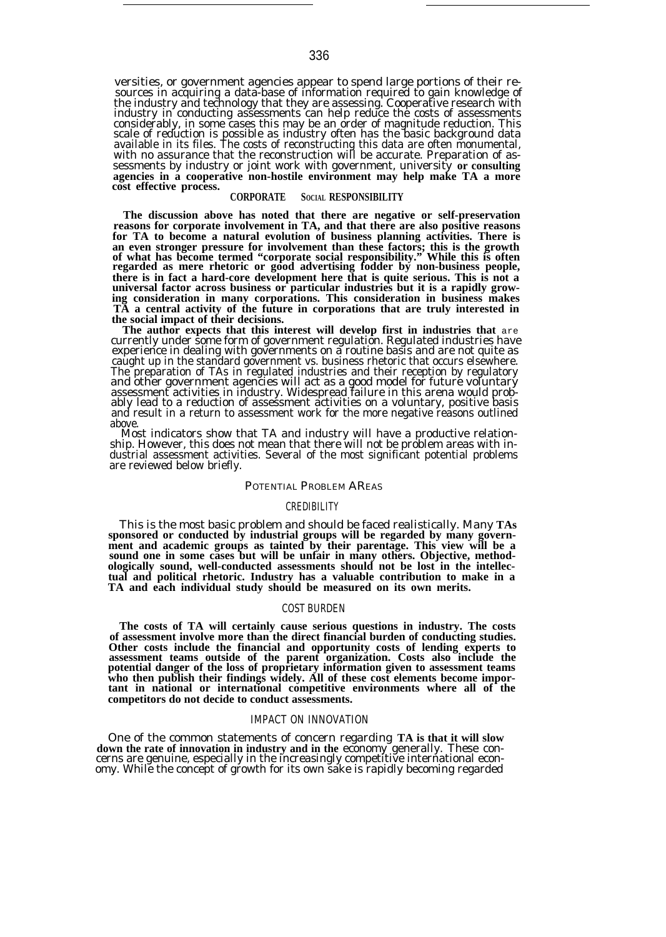versities, or government agencies appear to spend large portions of their resources in acquiring a data-base of information required to gain knowledge of<br>the industry and technology that they are assessing. Cooperative research with<br>industry in conducting assessments can help reduce the costs of a considerably, in some cases this may be an order of magnitude reduction. This scale of reduction is possible as industry often has the basic background data available in its files. The costs of reconstructing this data are often monumental, with no assurance that the reconstruction will be accurate. Preparation of assessments by industry or joint work with government, university **or consulting** agencies in a cooperative non-hostile environment may help make TA a more **cost effective process.**

## **CORPORATE SOCIAL RESPONSIBILITY**

**The discussion above has noted that there are negative or self-preservation reasons for corporate involvement in TA, and that there are also positive reasons for TA to become a natural evolution of business planning activities. There is** an even stronger pressure for involvement than these factors; this is the growth<br>of what has become termed "corporate social responsibility." While this is often<br>regarded as mere rhetoric or good advertising fodder by non**there is in fact a hard-core development here that is quite serious. This is not a universal factor across business or particular industries but it is a rapidly grow-ing consideration in many corporations. This consideration in business makes TA a central activity of the future in corporations that are truly interested in the social impact of their decisions.**

**The author expects that this interest will develop first in industries that** are currently under some form of government regulation. Regulated industries have experience in dealing with governments on a routine basis and are not quite as caught up in the standard government vs. business rhetoric that occurs elsewhere. The preparation of TAs in regulated industries and their reception by regulatory<br>and other government agencies will act as a good model for future voluntary<br>assessment activities in industry. Widespread failure in this are ably lead to a reduction of assessment activities on a voluntary, positive basis and result in a return to assessment work for the more negative reasons outlined above.

Most indicators show that TA and industry will have a productive relationship. However, this does not mean that there will not be problem areas with industrial assessment activities. Several of the most significant potential problems are reviewed below briefly.

#### POTENTIAL PROBLEM AREAS

## **CREDIBILITY**

This is the most basic problem and should be faced realistically. Many **TAs sponsored or conducted by industrial groups will be regarded by many government and academic groups as tainted by their parentage. This view will be a sound one in some cases but will be unfair in many others. Objective, methodologically sound, well-conducted assessments should not be lost in the intellectual and political rhetoric. Industry has a valuable contribution to make in a TA and each individual study should be measured on its own merits.**

# COST BURDEN

**The costs of TA will certainly cause serious questions in industry. The costs of assessment involve more than the direct financial burden of conducting studies. Other costs include the financial and opportunity costs of lending experts to assessment teams outside of the parent organization. Costs also include the potential danger of the loss of proprietary information given to assessment teams who then publish their findings widely. All of these cost elements become important in national or international competitive environments where all of the competitors do not decide to conduct assessments.**

### IMPACT ON INNOVATION

One of the common statements of concern regarding **TA is that it will slow down the rate of innovation in industry and in the** economy generally. These concerns are genuine, especially in the increasingly competitive international economy. While the concept of growth for its own sake is rapidly becoming regarded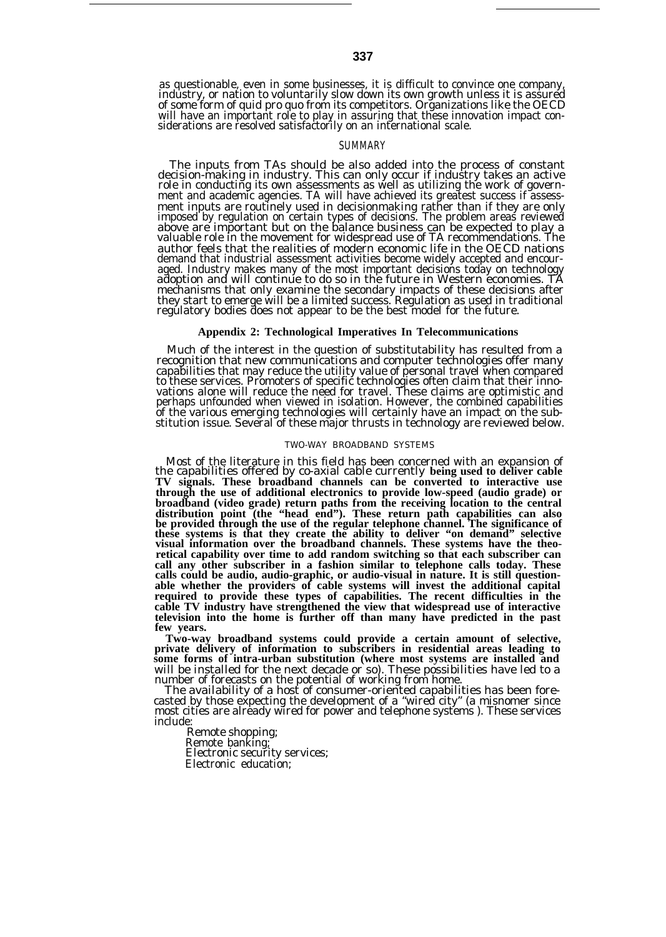as questionable, even in some businesses, it is difficult to convince one company, industry, or nation to voluntarily slow down its own growth unless it is assured of some form of quid pro quo from its competitors. Organizations like the OECD will have an important role to play in assuring that these innovation impact con-siderations are resolved satisfactorily on an international scale.

## SUMMARY

The inputs from TAs should be also added into the process of constant decision-making in industry. This can only occur if industry takes an active role in conducting its own assessments as well as utilizing the work of government and academic agencies. TA will have achieved its greatest success if assessment inputs are routinely used in decisionmaking rather than if they are only imposed by regulation on certain types of decisions. The problem areas reviewed above are important but on the balance business can be expected to play a valuable role in the movement for widespread use of TA recommendations. The author feels that the realities of modern economic life in the OECD nations demand that industrial assessment activities become widely accepted and encouraged. Industry makes many of the most important decisions today on technology adoption and will continue to do so in the future in Western economies. TA mechanisms that only examine the secondary impacts of these decisions after they start to emerge will be a limited success. Regulation as used in traditional regulatory bodies does not appear to be the best model for the future.

# **Appendix 2: Technological Imperatives In Telecommunications**

Much of the interest in the question of substitutability has resulted from a recognition that new communications and computer technologies offer many capabilities that may reduce the utility value of personal travel when compared to these services. Promoters of specific technologies often claim that their innovations alone will reduce the need for travel. These claims are optimistic and perhaps unfounded when viewed in isolation. However, the combined capabilities of the various emerging technologies will certainly have an impact on the sub-stitution issue. Several of these major thrusts in technology are reviewed below.

#### TWO-WAY BROADBAND SYSTEMS

Most of the literature in this field has been concerned with an expansion of the capabilities offered by co-axial cable currently **being used to deliver cable TV signals. These broadband channels can be converted to interactive use through the use of additional electronics to provide low-speed (audio grade) or broadband (video grade) return paths from the receiving location to the central distribution point (the "head end"). These return path capabilities can also be provided through the use of the regular telephone channel. The significance of these systems is that they create the ability to deliver "on demand" selective visual information over the broadband channels. These systems have the theoretical capability over time to add random switching so that each subscriber can call any other subscriber in a fashion similar to telephone calls today. These calls could be audio, audio-graphic, or audio-visual in nature. It is still questionable whether the providers of cable systems will invest the additional capital required to provide these types of capabilities. The recent difficulties in the cable TV industry have strengthened the view that widespread use of interactive television into the home is further off than many have predicted in the past few years.**

Two-way broadband systems could provide a certain amount of selective,<br>private delivery of information to subscribers in residential areas leading to<br>some forms of intra-urban substitution (where most systems are installed will be installed for the next decade or so). These possibilities have led to a

number of forecasts on the potential of working from home. The availability of a host of consumer-oriented capabilities has been forecasted by those expecting the development of a "wired city" (a misnomer since most cities are already wired for power and telephone systems ). These services include:

Remote shopping; Remote banking; Electronic security services; Electronic education;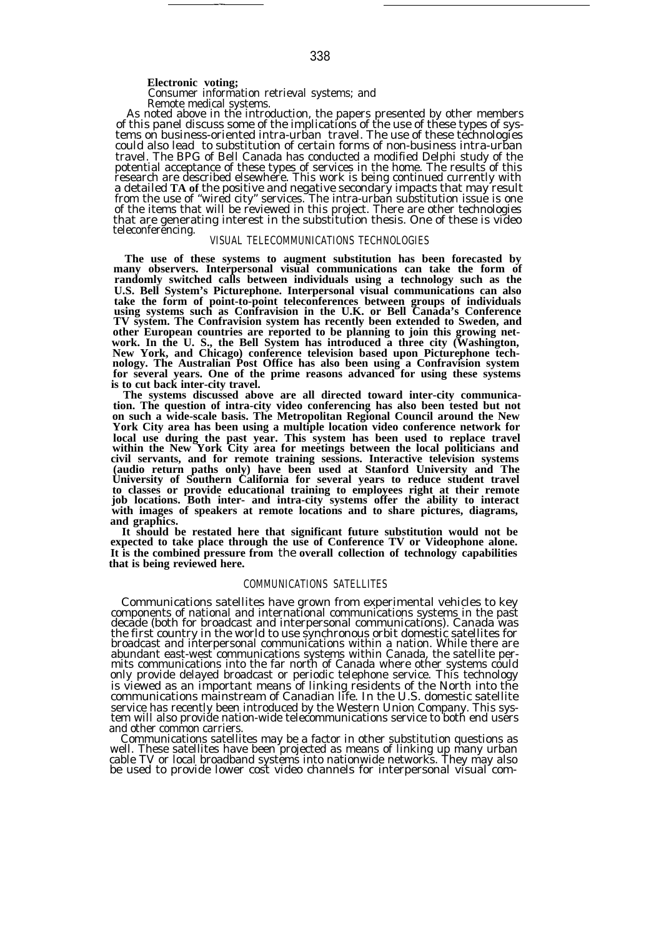—

Consumer information retrieval systems; and Remote medical systems.

As noted above in the introduction, the papers presented by other members of this panel discuss some of the implications of the use of these types of systems on business-oriented intra-urban travel. The use of these technologies could also lead to substitution of certain forms of non-business intra-urban travel. The BPG of Bell Canada has conducted a modified Delphi study of the potential acceptance of these types of services in the home. The results of this research are described elsewhere. This work is being continued currently with a detailed **TA of** the positive and negative secondary impacts that may result from the use of "wired city" services. The intra-urban substitution issue is one of the items that will be reviewed in this project. There are other technologies that are generating interest in the substitution thesis. One of these is video teleconferencing.

# VISUAL TELECOMMUNICATIONS TECHNOLOGIES

**The use of these systems to augment substitution has been forecasted by many observers. Interpersonal visual communications can take the form of randomly switched calls between individuals using a technology such as the U.S. Bell System's Picturephone. Interpersonal visual communications can also take the form of point-to-point teleconferences between groups of individuals using systems such as Confravision in the U.K. or Bell Canada's Conference TV system. The Confravision system has recently been extended to Sweden, and other European countries are reported to be planning to join this growing network. In the U. S., the Bell System has introduced a three city (Washington, New York, and Chicago) conference television based upon Picturephone technology. The Australian Post Office has also been using a Confravision system for several years. One of the prime reasons advanced for using these systems is to cut back inter-city travel.**

**The systems discussed above are all directed toward inter-city communication. The question of intra-city video conferencing has also been tested but not on such a wide-scale basis. The Metropolitan Regional Council around the New York City area has been using a multiple location video conference network for local use during the past year. This system has been used to replace travel within the New York City area for meetings between the local politicians and civil servants, and for remote training sessions. Interactive television systems (audio return paths only) have been used at Stanford University and The University of Southern California for several years to reduce student travel** to classes or provide educational training to employees right at their remote<br>job locations. Both inter- and intra-city systems offer the ability to interact<br>with images of speakers at remote locations and to share picture **and graphics.**

**It should be restated here that significant future substitution would not be expected to take place through the use of Conference TV or Videophone alone. It is the combined pressure from** the **overall collection of technology capabilities that is being reviewed here.**

# COMMUNICATIONS SATELLITES

Communications satellites have grown from experimental vehicles to key components of national and international communications systems in the past decade (both for broadcast and interpersonal communications). Canada was the first country in the world to use synchronous orbit domestic satellites for broadcast and interpersonal communications within a nation. While there are abundant east-west communications systems within Canada, the satellite permits communications into the far north of Canada where other systems could only provide delayed broadcast or periodic telephone service. This technology is viewed as an important means of linking residents of the North into the communications mainstream of Canadian life. In the U.S. domestic satellite service has recently been introduced by the Western Union Company. This system will also provide nation-wide telecommunications service to both end users and other common carriers.

Communications satellites may be a factor in other substitution questions as well. These satellites have been projected as means of linking up many urban cable TV or local broadband systems into nationwide networks. They may also be used to provide lower cost video channels for interpersonal visual com-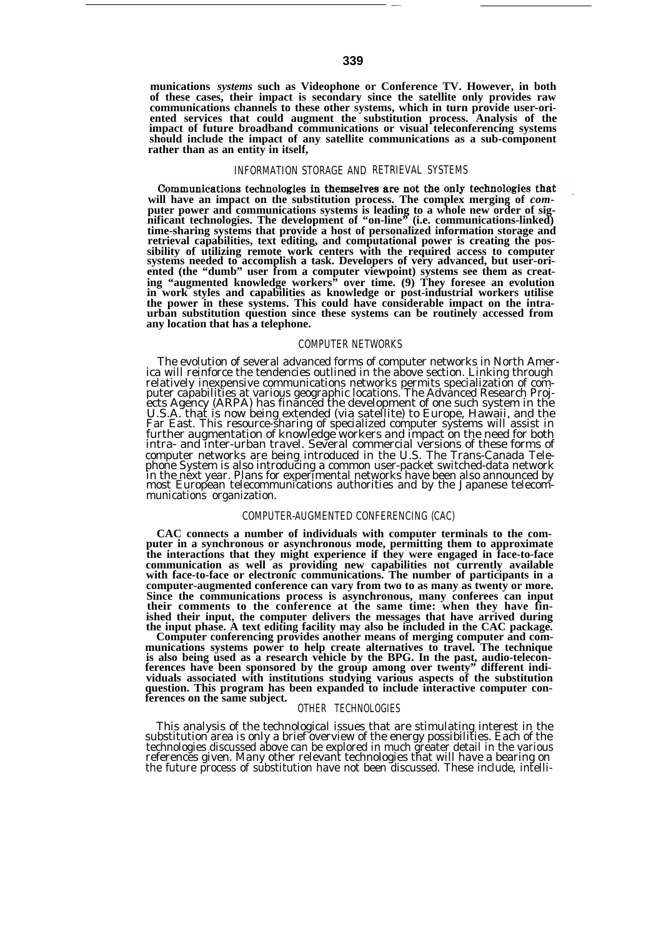**munications** *systems* **such as Videophone or Conference TV. However, in both of these cases, their impact is secondary since the satellite only provides raw communications channels to these other systems, which in turn provide user-oriented services that could augment the substitution process. Analysis of the impact of future broadband communications or visual teleconferencing systems should include the impact of any satellite communications as a sub-component rather than as an entity in itself,**

### INFORMATION STORAGE AND RETRIEVAL SYSTEMS

will have an impact on the substitution process. The complex merging of *computer* power and communications systems is leading to a whole new order of significant technologies. The development of "on-line" (i.e. communicat **time-sharing systems that provide a host of personalized information storage and retrieval capabilities, text editing, and computational power is creating the possibility of utilizing remote work centers with the required access to computer systems needed to accomplish a task. Developers of very advanced, but user-oriented (the "dumb" user from a computer viewpoint) systems see them as creating "augmented knowledge workers" over time. (9) They foresee an evolution in work styles and capabilities as knowledge or post-industrial workers utilise the power in these systems. This could have considerable impact on the intra-urban substitution question since these systems can be routinely accessed from any location that has a telephone.**

# COMPUTER NETWORKS

The evolution of several advanced forms of computer networks in North Amer-ica will reinforce the tendencies outlined in the above section. Linking through relatively inexpensive communications networks permits specialization of com-<br>puter capabilities at various geographic locations. The Advanced Research Proj-<br>ects Agency (ARPA) has financed the development of one such syst U.S.A. that is now being extended (via satellite) to Europe, Hawaii, and the<br>Far East. This resource-sharing of specialized computer systems will assist in<br>further augmentation of knowledge workers and impact on the need f intra- and inter-urban travel. Several commercial versions of these forms of computer networks are being introduced in the U.S. The Trans-Canada Telephone System is also introducing a common user-packet switched-data network<br>in the next year. Plans for experimental networks have been also announced by<br>most European telecommunications authorities and by the Japanese tel munications organization.

# COMPUTER-AUGMENTED CONFERENCING (CAC)

**CAC connects a number of individuals with computer terminals to the computer in a synchronous or asynchronous mode, permitting them to approximate the interactions that they might experience if they were engaged in face-to-face** communication as well as providing new capabilities not currently available with face-to-face or electronic communications. The number of participants in a **computer-augmented conference can vary from two to as many as twenty or more. Since the communications process is asynchronous, many conferees can input their comments to the conference at the same time: when they have finished their input, the computer delivers the messages that have arrived during the input phase. A text editing facility may also be included in the CAC package.**

Computer conferencing provides another means of merging computer and com-<br>munications systems power to help create alternatives to travel. The technique<br>is also being used as a research vehicle by the BPG. In the past, aud **viduals associated with institutions studying various aspects of the substitution question. This program has been expanded to include interactive computer con-ferences on the same subject.**

## OTHER TECHNOLOGIES

This analysis of the technological issues that are stimulating interest in the substitution area is only a brief overview of the energy possibilities. Each of the technologies discussed above can be explored in much greater detail in the various references given. Many other relevant technologies that will have a bearing on the future process of substitution have not been discussed. These include, intelli-

.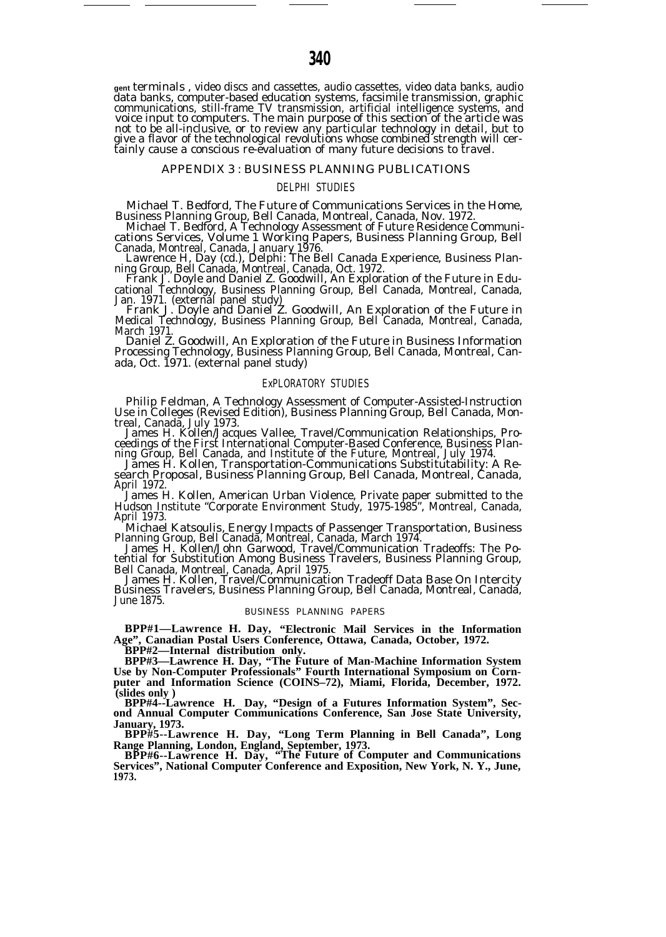**gent** terminals , video discs and cassettes, audio cassettes, video data banks, audio data banks, computer-based education systems, facsimile transmission, graphic communications, still-frame TV transmission, artificial intelligence systems, and voice input to computers. The main purpose of this section of the article was not to be all-inclusive, or to review any particular technology in detail, but to<br>give a flavor of the technological revolutions whose combined strength will cer-<br>tainly cause a conscious re-evaluation of many future decis

### APPENDIX 3 : BUSINESS PLANNING PUBLICATIONS

## DELPHI STUDIES

Michael T. Bedford, The Future of Communications Services in the Home, Business Planning Group, Bell Canada, Montreal, Canada, Nov. 1972.

Michael T. Bedford, A Technology Assessment of Future Residence Communications Services, Volume 1 Working Papers, Business Planning Group, Bell Canada, Montreal, Canada, January 1976. Lawrence H, Day (cd.), Delphi: The Bell Canada Experience, Business Plan-

ning Group, Bell Canada, Montreal, Canada, Oct. 1972. Frank J. Doyle and Daniel Z. Goodwill, An Exploration of the Future in Educational Technology, Business Planning Group, Bell Canada, Montreal, Canada, Jan. 1971. (external panel study) Frank J. Doyle and Daniel Z. Goodwill, An Exploration of the Future in

Medical Technology, Business Planning Group, Bell Canada, Montreal, Canada, March 1971

Daniel Z. Goodwill, An Exploration of the Future in Business Information Processing Technology, Business Planning Group, Bell Canada, Montreal, Canada, Oct. 1971. (external panel study)

### ExPLORATORY STUDIES

Philip Feldman, A Technology Assessment of Computer-Assisted-Instruction Use in Colleges (Revised Edition), Business Planning Group, Bell Canada, Mon-

treal, Canada, July 1973. James H. Kollen/Jacques Vallee, Travel/Communication Relationships, Proceedings of the First International Computer-Based Conference, Business Plan-ning Group, Bell Canada, and Institute of the Future, Montreal, July 1974.

James H. Kollen, Transportation-Communications Substitutability: A Research Proposal, Business Planning Group, Bell Canada, Montreal, Canada, April 1972.

James H. Kollen, American Urban Violence, Private paper submitted to the Hudson Institute "Corporate Environment Study, 1975-1985", Montreal, Canada, April 1973.

Michael Katsoulis, Energy Impacts of Passenger Transportation, Business Planning Group, Bell Canada, Montreal, Canada, March 1974. James H. Kollen/John Garwood, Travel/Communication Tradeoffs: The Po-

tential for Substitution Among Business Travelers, Business Planning Group,

Bell Canada, Montreal, Canada, April 1975. James H. Kollen, Travel/Communication Tradeoff Data Base On Intercity Business Travelers, Business Planning Group, Bell Canada, Montreal, Canada, June 1875.

# BUSINESS PLANNING PAPERS

**BPP#1—Lawrence H. Day, "Electronic Mail Services in the Information Age", Canadian Postal Users Conference, Ottawa, Canada, October, 1972.**

**BPP#2—Internal distribution only.**

**BPP#3—Lawrence H. Day, "The Future of Man-Machine Information System Use by Non-Computer Professionals" Fourth International Symposium on Corn**puter and Information Science (COINS-72), Miami, Florida, December, 1972. **(slides only )**

**BPP#4--Lawrence H. Day, "Design of a Futures Information System", Second Annual Computer Communications Conference, San Jose State University, January, 1973.**

**BPP#5--Lawrence H. Day, "Long Term Planning in Bell Canada", Long Range Planning, London, England, September, 1973. BPP#6--Lawrence H. Day, "The Future of Computer and Communications**

**Services", National Computer Conference and Exposition, New York, N. Y., June, 1973.**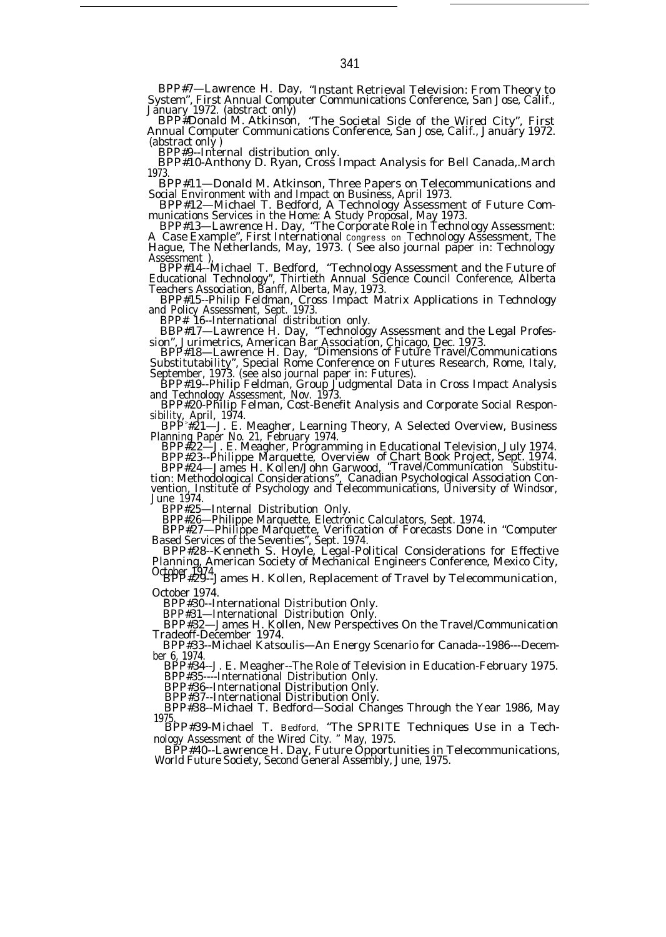BPP#7—Lawrence H. Day, "Instant Retrieval Television: From Theory to System", First Annual Computer Communications Conference, San Jose, Calif., January 1972. (abstract only) BPP#Donald M. Atkinson, "The Societal Side of the Wired City", First

Annual Computer Communications Conference, San Jose, Calif., January 1972. (abstract only )

BPP#9--Internal distribution only.

BPP#10-Anthony D. Ryan, Cross Impact Analysis for Bell Canada,.March 1973.

BPP#11—Donald M. Atkinson, Three Papers on Telecommunications and

Social Environment with and Impact on Business, April 1973.<br>BPP#12—Michael T. Bedford, A Technology Assessment of Future Communications Services in the Home: A Study Proposal, May 1973.<br>BPP#13—Lawrence H. Day, "The Corpora

A Case Example", First International congress on Technology Assessment, The Hague, The Netherlands, May, 1973. ( See also journal paper in: Technology Assessment ),

BPP#14--Michael T. Bedford, "Technology Assessment and the Future of Educational Technology", Thirtieth Annual Science Council Conference, Alberta Teachers Association, Banff, Alberta, May, 1973.

BPP#15--Philip Feldman, Cross Impact Matrix Applications in Technology and Policy Assessment, Sept. 1973.

BPP# 16--International distribution only. BBP#17—Lawrence H. Day, "Technology Assessment and the Legal Profes-

sion", Jurimetrics, American Bar Association, Chicago, Dec. 1973. BPP#18—Lawrence H. Day, "Dimensions of Future Travel/Communications Substitutability", Special Rome Conference on Futures Research, Rome, Italy,

September, 1973. (see also journal paper in: Futures). BPP#19--Philip Feldman, Group Judgmental Data in Cross Impact Analysis

and Technology Assessment, Nov. 1973.<br>
BPP#20-Philip Felman, Cost-Benefit Analysis and Corporate Social Respon-<br>
sibility, April, 1974.<br>
BPP#21—J. E. Meagher, Learning Theory, A Selected Overview, Business<br>
Planning Paper

BPP#23--Philippe Marquette, Overview of Chart Book Project, Sept. 1974. BPP#24—James H. Kollen/John Garwood, "Travel/Communication Substitu-

tion: Methodological Considerations", Canadian Psychological Association Con-vention, Institute of Psychology and Telecommunications, University of Windsor, June 1974.

BPP#25—Internal Distribution Only. BPP#26—Philippe Marquette, Electronic Calculators, Sept. 1974. BPP#27—Philippe Marquette, Verification of Forecasts Done in "Computer Based Services of the Seventies", Sept. 1974.

BPP#28--Kenneth S. Hoyle, Legal-Political Considerations for Effective Planning, American Society of Mechanical Engineers Conference, Mexico City,

October 1974. BPP#29--James H. Kollen, Replacement of Travel by Telecommunication, October 1974.

BPP#30--International Distribution Only.

BPP#31—International Distribution Only.

BPP#32—James H. Kollen, New Perspectives On the Travel/Communication Tradeoff-December 1974.

BPP#33--Michael Katsoulis—An Energy Scenario for Canada--1986---December 6, 1974.

BPP#34--J. E. Meagher--The Role of Television in Education-February 1975. BPP#35----International Distribution Only.

BPP#36--International Distribution Only. BPP#37--International Distribution Only.

BPP#38--Michael T. Bedford—Social Changes Through the Year 1986, May 1975. BPP#39-Michael T. Bedford, "The SPRITE Techniques Use in a Tech-

nology Assessment of the Wired City. " May, 1975.

BPP#40--Lawrence H. Day, Future Opportunities in Telecommunications, World Future Society, Second General Assembly, June, 1975.